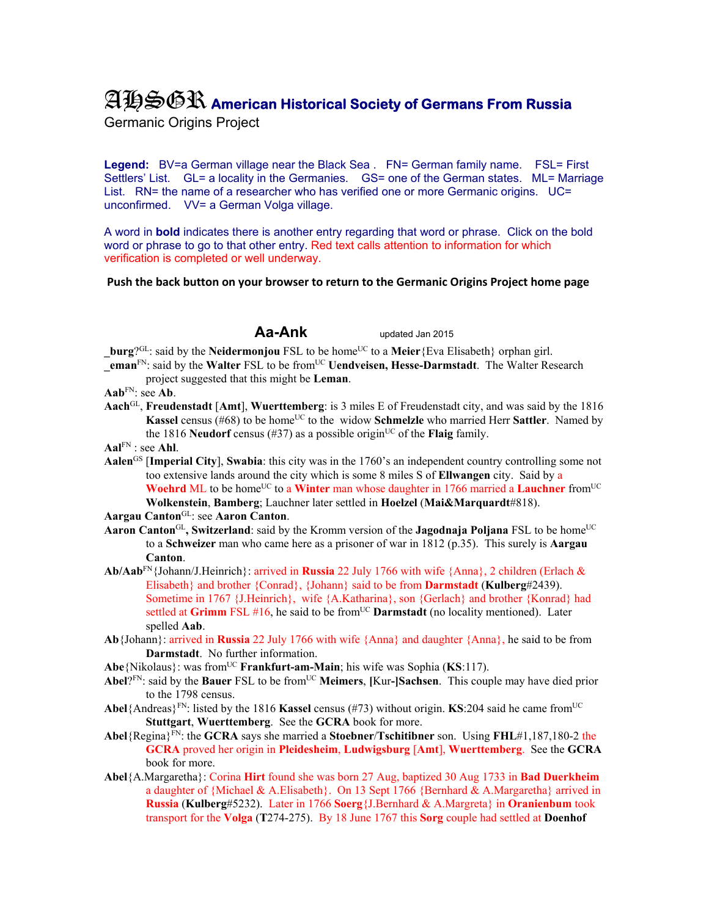## AHSGR **American Historical Society of Germans From Russia**

Germanic Origins Project

**Legend:** BV=a German village near the Black Sea . FN= German family name. FSL= First Settlers' List. GL= a locality in the Germanies. GS= one of the German states. ML= Marriage List. RN= the name of a researcher who has verified one or more Germanic origins. UC= unconfirmed. VV= a German Volga village.

A word in **bold** indicates there is another entry regarding that word or phrase. Click on the bold word or phrase to go to that other entry. Red text calls attention to information for which verification is completed or well underway.

## **Push the back button on your browser to return to the Germanic Origins Project home page**

**Aa-Ank** updated Jan 2015

**burg**?<sup>GL</sup>: said by the **Neidermonjou** FSL to be home<sup>UC</sup> to a **Meier**{Eva Elisabeth} orphan girl. **EXECUTE:** said by the Walter FSL to be from<sup>UC</sup> **Uendveisen, Hesse-Darmstadt**. The Walter Research

- project suggested that this might be **Leman**.
- **Aab**FN: see **Ab**.
- **Aach**GL, **Freudenstadt** [**Amt**], **Wuerttemberg**: is 3 miles E of Freudenstadt city, and was said by the 1816 **Kassel** census (#68) to be home<sup>UC</sup> to the widow **Schmelzle** who married Herr **Sattler**. Named by the 1816 **Neudorf** census (#37) as a possible origin<sup>UC</sup> of the **Flaig** family.
- **Aal**FN : see **Ahl**.
- **Aalen**GS [**Imperial City**], **Swabia**: this city was in the 1760's an independent country controlling some not too extensive lands around the city which is some 8 miles S of **Ellwangen** city. Said by a **Woehrd** ML to be home<sup>UC</sup> to a **Winter** man whose daughter in 1766 married a **Lauchner** from<sup>UC</sup> **Wolkenstein**, **Bamberg**; Lauchner later settled in **Hoelzel** (**Mai&Marquardt**#818).

**Aargau Canton**GL: see **Aaron Canton**.

- **Aaron Canton**<sup>GL</sup>, Switzerland: said by the Kromm version of the **Jagodnaja Poljana** FSL to be home<sup>UC</sup> to a **Schweizer** man who came here as a prisoner of war in 1812 (p.35). This surely is **Aargau Canton**.
- **Ab/Aab**FN{Johann/J.Heinrich}: arrived in **Russia** 22 July 1766 with wife {Anna}, 2 children (Erlach & Elisabeth} and brother {Conrad}, {Johann} said to be from **Darmstadt** (**Kulberg**#2439). Sometime in 1767 {J.Heinrich}, wife {A.Katharina}, son {Gerlach} and brother {Konrad} had settled at Grimm FSL #16, he said to be from<sup>UC</sup> Darmstadt (no locality mentioned). Later spelled **Aab**.
- **Ab**{Johann}: arrived in **Russia** 22 July 1766 with wife {Anna} and daughter {Anna}, he said to be from **Darmstadt**. No further information.
- Abe<sup>{Nikolaus}: was from<sup>UC</sup> **Frankfurt-am-Main**; his wife was Sophia (**KS**:117).</sup>
- **Abel**?FN: said by the **Bauer** FSL to be fromUC **Meimers**, **[**Kur**-]Sachsen**. This couple may have died prior to the 1798 census.
- **Abel**{Andreas}<sup>FN</sup>: listed by the 1816 **Kassel** census (#73) without origin. **KS**:204 said he came from<sup>UC</sup> **Stuttgart**, **Wuerttemberg**. See the **GCRA** book for more.
- **Abel**{Regina}FN: the **GCRA** says she married a **Stoebner**/**Tschitibner** son. Using **FHL**#1,187,180-2 the **GCRA** proved her origin in **Pleidesheim**, **Ludwigsburg** [**Amt**], **Wuerttemberg**. See the **GCRA** book for more.
- **Abel**{A.Margaretha}: Corina **Hirt** found she was born 27 Aug, baptized 30 Aug 1733 in **Bad Duerkheim** a daughter of {Michael & A.Elisabeth}. On 13 Sept 1766 {Bernhard & A.Margaretha} arrived in **Russia** (**Kulberg**#5232). Later in 1766 **Soerg**{J.Bernhard & A.Margreta} in **Oranienbum** took transport for the **Volga** (**T**274-275). By 18 June 1767 this **Sorg** couple had settled at **Doenhof**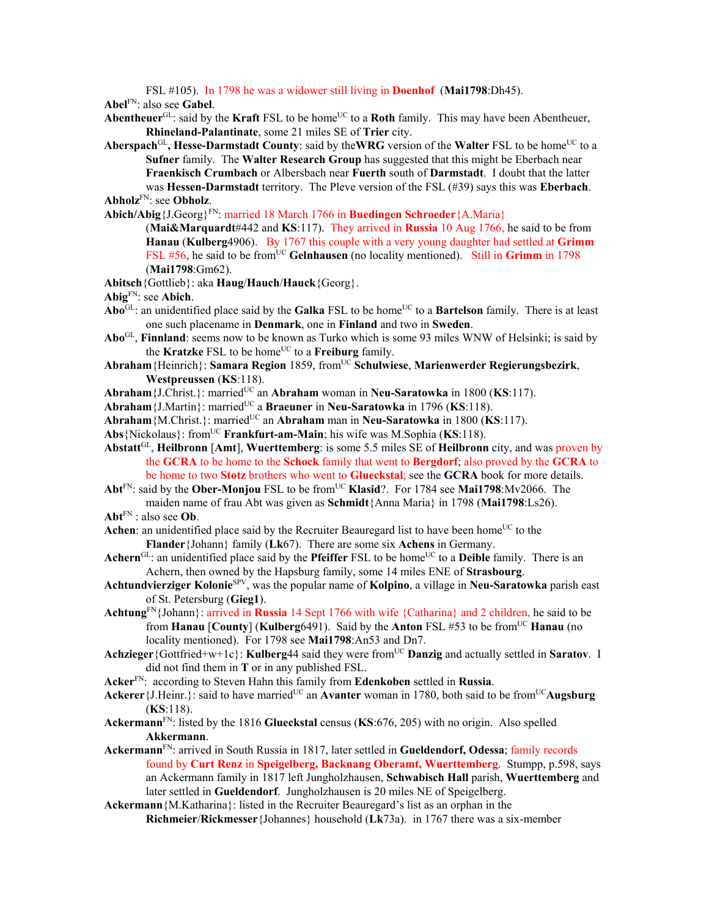FSL #105). In 1798 he was a widower still living in **Doenhof** (**Mai1798**:Dh45).

**Abel**FN: also see **Gabel**.

- **Abentheuer**<sup>GL</sup>: said by the **Kraft** FSL to be home<sup>UC</sup> to a **Roth** family. This may have been Abentheuer, **Rhineland-Palantinate**, some 21 miles SE of **Trier** city.
- Aberspach<sup>GL</sup>, Hesse-Darmstadt County: said by the WRG version of the Walter FSL to be home<sup>UC</sup> to a **Sufner** family. The **Walter Research Group** has suggested that this might be Eberbach near **Fraenkisch Crumbach** or Albersbach near **Fuerth** south of **Darmstadt**. I doubt that the latter was **Hessen-Darmstadt** territory. The Pleve version of the FSL (#39) says this was **Eberbach**. **Abholz**FN: see **Obholz**.
- **Abich/Abig**{J.Georg}FN: married 18 March 1766 in **Buedingen Schroeder**{A.Maria}

(**Mai&Marquardt**#442 and **KS**:117). They arrived in **Russia** 10 Aug 1766, he said to be from **Hanau** (**Kulberg**4906). By 1767 this couple with a very young daughter had settled at **Grimm** FSL #56, he said to be from<sup>UC</sup> Gelnhausen (no locality mentioned). Still in Grimm in 1798 (**Mai1798**:Gm62).

**Abitsch**{Gottlieb}: aka **Haug**/**Hauch**/**Hauck**{Georg}.

**Abig**FN: see **Abich**.

- Abo<sup>GL</sup>: an unidentified place said by the **Galka** FSL to be home<sup>UC</sup> to a **Bartelson** family. There is at least one such placename in **Denmark**, one in **Finland** and two in **Sweden**.
- **Abo**GL, **Finnland**: seems now to be known as Turko which is some 93 miles WNW of Helsinki; is said by the **Kratzke** FSL to be home<sup>UC</sup> to a **Freiburg** family.
- **Abraham**{Heinrich}: **Samara Region** 1859, fromUC **Schulwiese**, **Marienwerder Regierungsbezirk**, **Westpreussen** (**KS**:118).
- **Abraham** {J.Christ.}: married<sup>UC</sup> an **Abraham** woman in **Neu-Saratowka** in 1800 (**KS**:117).
- Abraham<sup>{J</sup>.Martin}: married<sup>UC</sup> a **Braeuner** in **Neu-Saratowka** in 1796 (**KS**:118).
- Abraham<sup>{M.Christ.}: married<sup>UC</sup> an Abraham man in **Neu-Saratowka** in 1800 (**KS**:117).</sup>
- **Abs**{Nickolaus}: fromUC **Frankfurt-am-Main**; his wife was M.Sophia (**KS**:118).
- **Abstatt**GL, **Heilbronn** [**Amt**], **Wuerttemberg**: is some 5.5 miles SE of **Heilbronn** city, and was proven by the **GCRA** to be home to the **Schock** family that went to **Bergdorf**; also proved by the **GCRA** to be home to two **Stotz** brothers who went to **Glueckstal**; see the **GCRA** book for more details.
- Abt<sup>FN</sup>: said by the Ober-Monjou FSL to be from<sup>UC</sup> Klasid?. For 1784 see Mai1798:Mv2066. The maiden name of frau Abt was given as **Schmidt**{Anna Maria} in 1798 (**Mai1798**:Ls26).
- **Abt**FN : also see **Ob**.
- **Achen**: an unidentified place said by the Recruiter Beauregard list to have been home<sup>UC</sup> to the **Flander**{Johann} family (**Lk**67). There are some six **Achens** in Germany.
- **Achern**<sup>GL</sup>: an unidentified place said by the **Pfeiffer** FSL to be home<sup>UC</sup> to a **Deible** family. There is an Achern, then owned by the Hapsburg family, some 14 miles ENE of **Strasbourg**.
- **Achtundvierziger Kolonie**SPV, was the popular name of **Kolpino**, a village in **Neu-Saratowka** parish east of St. Petersburg (**Gieg1**).
- **Achtung**FN{Johann}: arrived in **Russia** 14 Sept 1766 with wife {Catharina} and 2 children, he said to be from **Hanau** [**County**] (**Kulberg**6491). Said by the **Anton** FSL #53 to be fromUC **Hanau** (no locality mentioned). For 1798 see **Mai1798**:An53 and Dn7.
- **Achzieger** {Gottfried+w+1c}: **Kulberg**44 said they were from<sup>UC</sup> Danzig and actually settled in **Saratov**. I did not find them in **T** or in any published FSL.
- **Acker**FN: according to Steven Hahn this family from **Edenkoben** settled in **Russia**.
- **Ackerer** {J.Heinr.}: said to have married<sup>UC</sup> an **Avanter** woman in 1780, both said to be from<sup>UC</sup>**Augsburg** (**KS**:118).
- **Ackermann**FN: listed by the 1816 **Glueckstal** census (**KS**:676, 205) with no origin. Also spelled **Akkermann**.
- **Ackermann**FN: arrived in South Russia in 1817, later settled in **Gueldendorf, Odessa**; family records found by **Curt Renz** in **Speigelberg, Backnang Oberamt, Wuerttemberg**. Stumpp, p.598, says an Ackermann family in 1817 left Jungholzhausen, **Schwabisch Hall** parish, **Wuerttemberg** and later settled in **Gueldendorf**. Jungholzhausen is 20 miles NE of Speigelberg.
- **Ackermann**{M.Katharina}: listed in the Recruiter Beauregard's list as an orphan in the **Richmeier**/**Rickmesser**{Johannes} household (**Lk**73a). in 1767 there was a six-member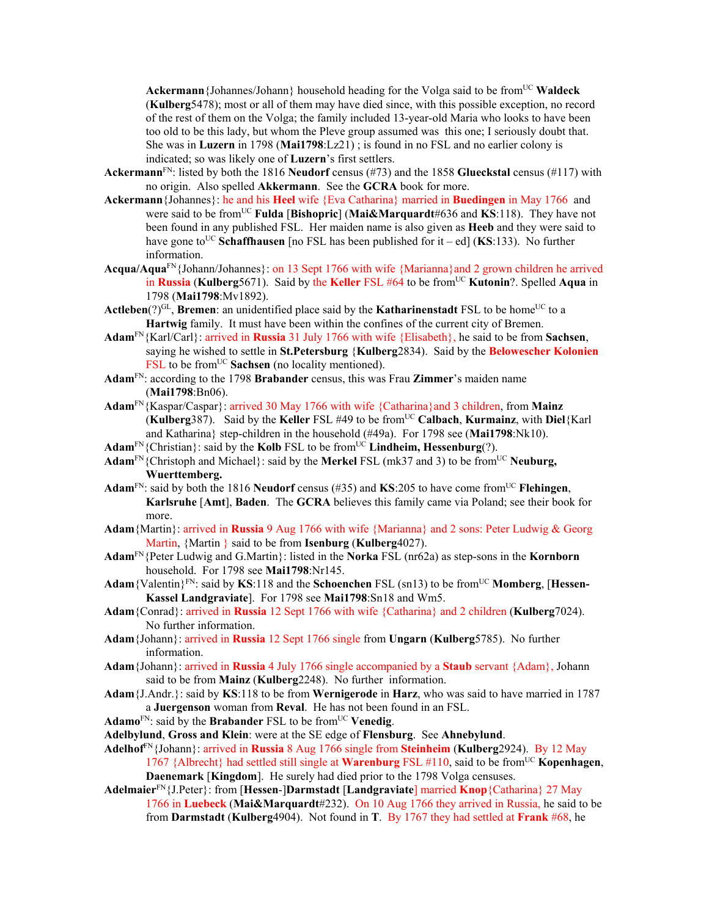Ackermann {Johannes/Johann} household heading for the Volga said to be from<sup>UC</sup> Waldeck (**Kulberg**5478); most or all of them may have died since, with this possible exception, no record of the rest of them on the Volga; the family included 13-year-old Maria who looks to have been too old to be this lady, but whom the Pleve group assumed was this one; I seriously doubt that. She was in **Luzern** in 1798 (**Mai1798**:Lz21) ; is found in no FSL and no earlier colony is indicated; so was likely one of **Luzern**'s first settlers.

- **Ackermann**FN: listed by both the 1816 **Neudorf** census (#73) and the 1858 **Glueckstal** census (#117) with no origin. Also spelled **Akkermann**. See the **GCRA** book for more.
- **Ackermann**{Johannes}: he and his **Heel** wife {Eva Catharina} married in **Buedingen** in May 1766 and were said to be fromUC **Fulda** [**Bishopric**] (**Mai&Marquardt**#636 and **KS**:118). They have not been found in any published FSL. Her maiden name is also given as **Heeb** and they were said to have gone to<sup>UC</sup> Schaffhausen [no FSL has been published for it – ed] (KS:133). No further information.
- **Acqua/Aqua**FN{Johann/Johannes}: on 13 Sept 1766 with wife {Marianna}and 2 grown children he arrived in **Russia** (**Kulberg**5671). Said by the **Keller** FSL #64 to be fromUC **Kutonin**?. Spelled **Aqua** in 1798 (**Mai1798**:Mv1892).
- **Actleben** $(?)^{GL}$ , **Bremen**: an unidentified place said by the **Katharinenstadt** FSL to be home<sup>UC</sup> to a **Hartwig** family. It must have been within the confines of the current city of Bremen.
- **Adam**FN{Karl/Carl}: arrived in **Russia** 31 July 1766 with wife {Elisabeth}, he said to be from **Sachsen**, saying he wished to settle in **St.Petersburg** {**Kulberg**2834). Said by the **Belowescher Kolonien** FSL to be from<sup>UC</sup> Sachsen (no locality mentioned).
- **Adam**FN: according to the 1798 **Brabander** census, this was Frau **Zimmer**'s maiden name (**Mai1798**:Bn06).
- **Adam**FN{Kaspar/Caspar}: arrived 30 May 1766 with wife {Catharina}and 3 children, from **Mainz**  (**Kulberg**387). Said by the **Keller** FSL #49 to be fromUC **Calbach**, **Kurmainz**, with **Diel**{Karl and Katharina} step-children in the household (#49a). For 1798 see (**Mai1798**:Nk10).
- Adam<sup>FN</sup>{Christian}: said by the Kolb<sub>FSL</sub> to be from<sup>UC</sup> Lindheim, Hessenburg(?).
- Adam<sup>FN</sup>{Christoph and Michael}: said by the **Merkel** FSL (mk37 and 3) to be from<sup>UC</sup> Neuburg, **Wuerttemberg.**
- **Adam**FN: said by both the 1816 **Neudorf** census (#35) and **KS**:205 to have come fromUC **Flehingen**, **Karlsruhe** [**Amt**], **Baden**. The **GCRA** believes this family came via Poland; see their book for more.
- **Adam**{Martin}: arrived in **Russia** 9 Aug 1766 with wife {Marianna} and 2 sons: Peter Ludwig & Georg Martin, {Martin } said to be from **Isenburg** (**Kulberg**4027).
- **Adam**FN{Peter Ludwig and G.Martin}: listed in the **Norka** FSL (nr62a) as step-sons in the **Kornborn** household. For 1798 see **Mai1798**:Nr145.
- Adam {Valentin}<sup>FN</sup>: said by **KS**:118 and the **Schoenchen** FSL (sn13) to be from<sup>UC</sup> **Momberg**, [**Hessen**-**Kassel Landgraviate**]. For 1798 see **Mai1798**:Sn18 and Wm5.
- **Adam**{Conrad}: arrived in **Russia** 12 Sept 1766 with wife {Catharina} and 2 children (**Kulberg**7024). No further information.
- **Adam**{Johann}: arrived in **Russia** 12 Sept 1766 single from **Ungarn** (**Kulberg**5785). No further information.
- **Adam**{Johann}: arrived in **Russia** 4 July 1766 single accompanied by a **Staub** servant {Adam}, Johann said to be from **Mainz** (**Kulberg**2248). No further information.
- **Adam**{J.Andr.}: said by **KS**:118 to be from **Wernigerode** in **Harz**, who was said to have married in 1787 a **Juergenson** woman from **Reval**. He has not been found in an FSL.
- Adamo<sup>FN</sup>: said by the **Brabander** FSL to be from<sup>UC</sup> Venedig.
- **Adelbylund**, **Gross and Klein**: were at the SE edge of **Flensburg**. See **Ahnebylund**.
- **Adelhof**FN{Johann}: arrived in **Russia** 8 Aug 1766 single from **Steinheim** (**Kulberg**2924). By 12 May 1767 {Albrecht} had settled still single at **Warenburg** FSL #110, said to be fromUC **Kopenhagen**, **Daenemark** [**Kingdom**]. He surely had died prior to the 1798 Volga censuses.
- **Adelmaier**FN{J.Peter}: from [**Hessen**-]**Darmstadt** [**Landgraviate**] married **Knop**{Catharina} 27 May 1766 in **Luebeck** (**Mai&Marquardt**#232).On 10 Aug 1766 they arrived in Russia, he said to be from **Darmstadt** (**Kulberg**4904). Not found in **T**. By 1767 they had settled at **Frank** #68, he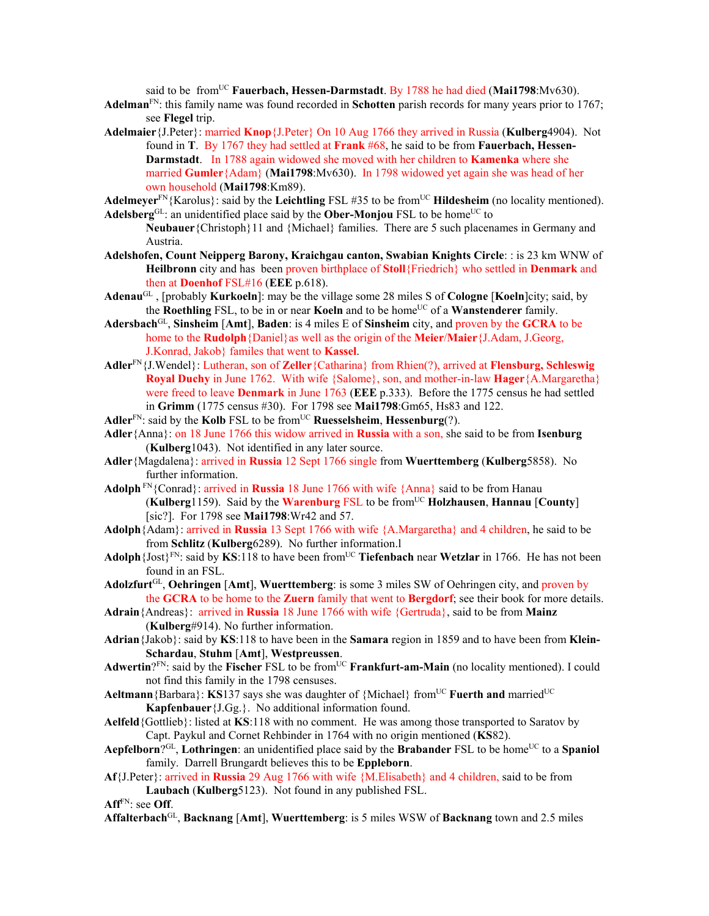said to be from<sup>UC</sup> Fauerbach, Hessen-Darmstadt. By 1788 he had died (Mai1798:Mv630).

- **Adelman**FN: this family name was found recorded in **Schotten** parish records for many years prior to 1767; see **Flegel** trip.
- **Adelmaier**{J.Peter}: married **Knop**{J.Peter} On 10 Aug 1766 they arrived in Russia (**Kulberg**4904). Not found in **T**. By 1767 they had settled at **Frank** #68, he said to be from **Fauerbach, Hessen-Darmstadt**. In 1788 again widowed she moved with her children to **Kamenka** where she married **Gumler**{Adam} (**Mai1798**:Mv630). In 1798 widowed yet again she was head of her own household (**Mai1798**:Km89).

Adelmeyer<sup>FN</sup>{Karolus}: said by the **Leichtling** FSL #35 to be from<sup>UC</sup> **Hildesheim** (no locality mentioned). **Adelsberg**<sup>GL</sup>: an unidentified place said by the **Ober-Monjou** FSL to be home<sup>UC</sup> to

**Neubauer**{Christoph}11 and {Michael} families. There are 5 such placenames in Germany and Austria.

- **Adelshofen, Count Neipperg Barony, Kraichgau canton, Swabian Knights Circle**: : is 23 km WNW of **Heilbronn** city and has been proven birthplace of **Stoll**{Friedrich} who settled in **Denmark** and then at **Doenhof** FSL#16 (**EEE** p.618).
- **Adenau**GL , [probably **Kurkoeln**]: may be the village some 28 miles S of **Cologne** [**Koeln**]city; said, by the **Roethling** FSL, to be in or near **Koeln** and to be home<sup>UC</sup> of a **Wanstenderer** family.
- **Adersbach**GL, **Sinsheim** [**Amt**], **Baden**: is 4 miles E of **Sinsheim** city, and proven by the **GCRA** to be home to the **Rudolph**{Daniel}as well as the origin of the **Meier**/**Maier**{J.Adam, J.Georg, J.Konrad, Jakob} familes that went to **Kassel**.
- **Adler**FN{J.Wendel}: Lutheran, son of **Zeller**{Catharina} from Rhien(?), arrived at **Flensburg, Schleswig Royal Duchy** in June 1762. With wife {Salome}, son, and mother-in-law **Hager**{A.Margaretha} were freed to leave **Denmark** in June 1763 (**EEE** p.333). Before the 1775 census he had settled in **Grimm** (1775 census #30). For 1798 see **Mai1798**:Gm65, Hs83 and 122.
- **Adler**FN: said by the **Kolb** FSL to be fromUC **Ruesselsheim**, **Hessenburg**(?).
- **Adler**{Anna}: on 18 June 1766 this widow arrived in **Russia** with a son, she said to be from **Isenburg**  (**Kulberg**1043). Not identified in any later source.
- **Adler**{Magdalena}: arrived in **Russia** 12 Sept 1766 single from **Wuerttemberg** (**Kulberg**5858). No further information.
- **Adolph** FN{Conrad}: arrived in **Russia** 18 June 1766 with wife {Anna} said to be from Hanau (**Kulberg**1159). Said by the **Warenburg** FSL to be fromUC **Holzhausen**, **Hannau** [**County**] [sic?]. For 1798 see **Mai1798**:Wr42 and 57.
- **Adolph**{Adam}: arrived in **Russia** 13 Sept 1766 with wife {A.Margaretha} and 4 children, he said to be from **Schlitz** (**Kulberg**6289). No further information.l
- **Adolph**{Jost}<sup>FN</sup>: said by **KS**:118 to have been from<sup>UC</sup> **Tiefenbach** near **Wetzlar** in 1766. He has not been found in an FSL.
- **Adolzfurt**GL, **Oehringen** [**Amt**], **Wuerttemberg**: is some 3 miles SW of Oehringen city, and proven by the **GCRA** to be home to the **Zuern** family that went to **Bergdorf**; see their book for more details.
- **Adrain**{Andreas}: arrived in **Russia** 18 June 1766 with wife {Gertruda}, said to be from **Mainz**  (**Kulberg**#914). No further information.
- **Adrian**{Jakob}: said by **KS**:118 to have been in the **Samara** region in 1859 and to have been from **Klein-Schardau**, **Stuhm** [**Amt**], **Westpreussen**.
- Adwertin?<sup>FN</sup>: said by the **Fischer** FSL to be from<sup>UC</sup> **Frankfurt-am-Main** (no locality mentioned). I could not find this family in the 1798 censuses.
- **Aeltmann**{Barbara}: **KS**137 says she was daughter of {Michael} from<sup>UC</sup> **Fuerth and** married<sup>UC</sup> **Kapfenbauer**{J.Gg.}. No additional information found.
- **Aelfeld**{Gottlieb}: listed at **KS**:118 with no comment. He was among those transported to Saratov by Capt. Paykul and Cornet Rehbinder in 1764 with no origin mentioned (**KS**82).
- **Aepfelborn**?<sup>GL</sup>, **Lothringen**: an unidentified place said by the **Brabander** FSL to be home<sup>UC</sup> to a **Spaniol** family. Darrell Brungardt believes this to be **Eppleborn**.
- **Af**{J.Peter}: arrived in **Russia** 29 Aug 1766 with wife {M.Elisabeth} and 4 children, said to be from **Laubach** (**Kulberg**5123). Not found in any published FSL.

**Aff**FN: see **Off**.

**Affalterbach**GL, **Backnang** [**Amt**], **Wuerttemberg**: is 5 miles WSW of **Backnang** town and 2.5 miles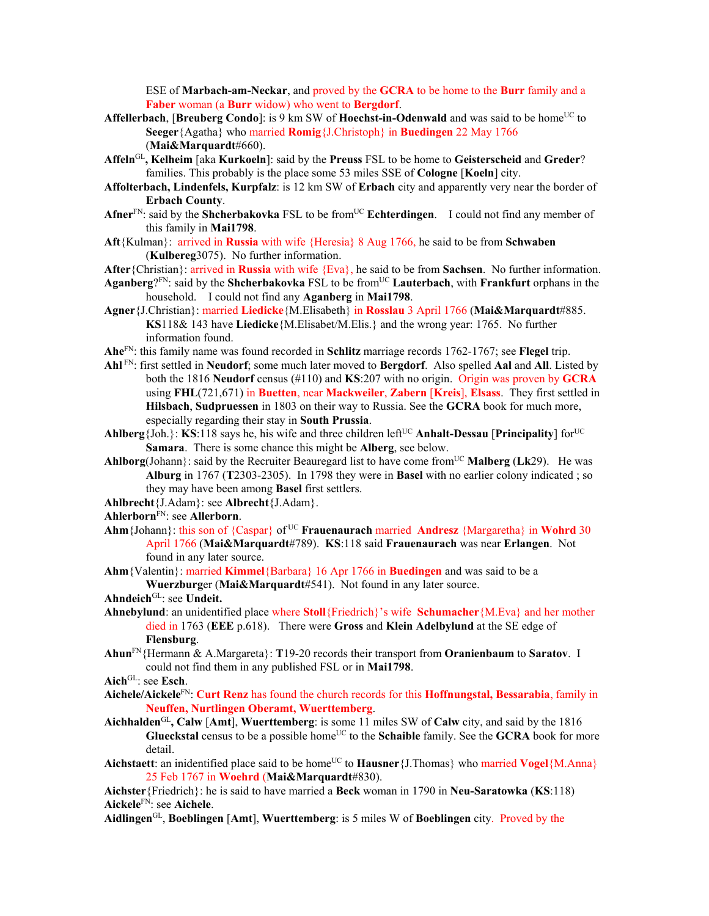ESE of **Marbach-am-Neckar**, and proved by the **GCRA** to be home to the **Burr** family and a **Faber** woman (a **Burr** widow) who went to **Bergdorf**.

- **Affellerbach, [Breuberg Condo]:** is 9 km SW of **Hoechst-in-Odenwald** and was said to be home<sup>UC</sup> to **Seeger**{Agatha} who married **Romig**{J.Christoph} in **Buedingen** 22 May 1766 (**Mai&Marquardt**#660).
- **Affeln**GL**, Kelheim** [aka **Kurkoeln**]: said by the **Preuss** FSL to be home to **Geisterscheid** and **Greder**? families. This probably is the place some 53 miles SSE of **Cologne** [**Koeln**] city.
- **Affolterbach, Lindenfels, Kurpfalz**: is 12 km SW of **Erbach** city and apparently very near the border of **Erbach County**.
- Afner<sup>FN</sup>: said by the **Shcherbakovka** FSL to be from<sup>UC</sup> **Echterdingen**. I could not find any member of this family in **Mai1798**.
- **Aft**{Kulman}: arrived in **Russia** with wife {Heresia} 8 Aug 1766, he said to be from **Schwaben**  (**Kulbereg**3075). No further information.

**After**{Christian}: arrived in **Russia** with wife {Eva}, he said to be from **Sachsen**. No further information.

- Aganberg<sup>?FN</sup>: said by the **Shcherbakovka** FSL to be from<sup>UC</sup> Lauterbach, with **Frankfurt** orphans in the household. I could not find any **Aganberg** in **Mai1798**.
- **Agner**{J.Christian}: married **Liedicke**{M.Elisabeth} in **Rosslau** 3 April 1766 (**Mai&Marquardt**#885. **KS**118& 143 have **Liedicke**{M.Elisabet/M.Elis.} and the wrong year: 1765. No further information found.
- **Ahe**FN: this family name was found recorded in **Schlitz** marriage records 1762-1767; see **Flegel** trip.
- **Ahl** FN: first settled in **Neudorf**; some much later moved to **Bergdorf**. Also spelled **Aal** and **All**. Listed by both the 1816 **Neudorf** census (#110) and **KS**:207 with no origin. Origin was proven by **GCRA** using **FHL**(721,671) in **Buetten**, near **Mackweiler**, **Zabern** [**Kreis**], **Elsass**. They first settled in **Hilsbach**, **Sudpruessen** in 1803 on their way to Russia. See the **GCRA** book for much more, especially regarding their stay in **South Prussia**.
- **Ahlberg**{Joh.}: **KS**:118 says he, his wife and three children left<sup>UC</sup> **Anhalt-Dessau** [**Principality**] for<sup>UC</sup> **Samara**. There is some chance this might be **Alberg**, see below.
- **Ahlborg**(Johann): said by the Recruiter Beauregard list to have come from<sup>UC</sup> **Malberg** (Lk29). He was **Alburg** in 1767 (**T**2303-2305). In 1798 they were in **Basel** with no earlier colony indicated ; so they may have been among **Basel** first settlers.

**Ahlbrecht**{J.Adam}: see **Albrecht**{J.Adam}.

- **Ahlerborn**FN: see **Allerborn**.
- **Ahm**{Johann}: this son of {Caspar} of UC **Frauenaurach** married **Andresz** {Margaretha} in **Wohrd** 30 April 1766 (**Mai&Marquardt**#789). **KS**:118 said **Frauenaurach** was near **Erlangen**. Not found in any later source.
- **Ahm**{Valentin}: married **Kimmel**{Barbara} 16 Apr 1766 in **Buedingen** and was said to be a **Wuerzburg**er (**Mai&Marquardt**#541). Not found in any later source.

- **Ahnebylund**: an unidentified place where **Stoll**{Friedrich}'s wife **Schumacher**{M.Eva} and her mother died in 1763 (**EEE** p.618). There were **Gross** and **Klein Adelbylund** at the SE edge of **Flensburg**.
- **Ahun**FN{Hermann & A.Margareta}: **T**19-20 records their transport from **Oranienbaum** to **Saratov**. I could not find them in any published FSL or in **Mai1798**.

**Aich**GL: see **Esch**.

- **Aichele/Aickele**FN: **Curt Renz** has found the church records for this **Hoffnungstal, Bessarabia**, family in **Neuffen, Nurtlingen Oberamt, Wuerttemberg**.
- **Aichhalden**GL**, Calw** [**Amt**], **Wuerttemberg**: is some 11 miles SW of **Calw** city, and said by the 1816 **Glueckstal** census to be a possible home<sup>UC</sup> to the **Schaible** family. See the **GCRA** book for more detail.
- **Aichstaett**: an inidentified place said to be home<sup>UC</sup> to **Hausner** {J.Thomas} who married **Vogel** {M.Anna} 25 Feb 1767 in **Woehrd** (**Mai&Marquardt**#830).

**Aichster**{Friedrich}: he is said to have married a **Beck** woman in 1790 in **Neu-Saratowka** (**KS**:118) **Aickele**FN: see **Aichele**.

**Aidlingen**GL, **Boeblingen** [**Amt**], **Wuerttemberg**: is 5 miles W of **Boeblingen** city. Proved by the

Ahndeich<sup>GL</sup>: see Undeit.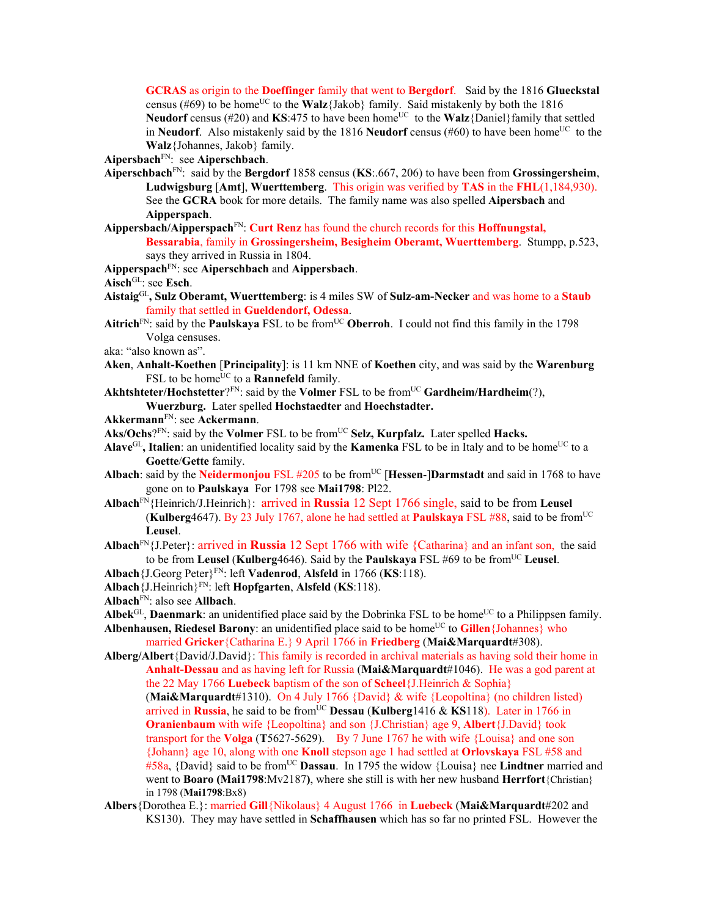**GCRAS** as origin to the **Doeffinger** family that went to **Bergdorf**. Said by the 1816 **Glueckstal** census (#69) to be home<sup>UC</sup> to the **Walz**{Jakob} family. Said mistakenly by both the 1816 **Neudorf** census (#20) and **KS**:475 to have been home<sup>UC</sup> to the **Walz**{Daniel}family that settled in **Neudorf**. Also mistakenly said by the 1816 **Neudorf** census (#60) to have been home<sup>UC</sup> to the **Walz**{Johannes, Jakob} family.

**Aipersbach**FN: see **Aiperschbach**.

- **Aiperschbach**FN: said by the **Bergdorf** 1858 census (**KS**:.667, 206) to have been from **Grossingersheim**, **Ludwigsburg** [**Amt**], **Wuerttemberg**. This origin was verified by **TAS** in the **FHL**(1,184,930). See the **GCRA** book for more details. The family name was also spelled **Aipersbach** and **Aipperspach**.
- **Aippersbach/Aipperspach**FN: **Curt Renz** has found the church records for this **Hoffnungstal, Bessarabia**, family in **Grossingersheim, Besigheim Oberamt, Wuerttemberg**. Stumpp, p.523, says they arrived in Russia in 1804.
- **Aipperspach**FN: see **Aiperschbach** and **Aippersbach**.
- Aisch<sup>GL</sup>: see **Esch**.
- **Aistaig**GL**, Sulz Oberamt, Wuerttemberg**: is 4 miles SW of **Sulz-am-Necker** and was home to a **Staub** family that settled in **Gueldendorf, Odessa**.
- Aitrich<sup>FN</sup>: said by the **Paulskaya** FSL to be from<sup>UC</sup> **Oberroh**. I could not find this family in the 1798 Volga censuses.
- aka: "also known as".
- **Aken**, **Anhalt-Koethen** [**Principality**]: is 11 km NNE of **Koethen** city, and was said by the **Warenburg** FSL to be home<sup>UC</sup> to a **Rannefeld** family.
- Akhtshteter/Hochstetter?<sup>FN</sup>: said by the Volmer FSL to be from<sup>UC</sup> Gardheim/Hardheim(?), **Wuerzburg.** Later spelled **Hochstaedter** and **Hoechstadter.**
- **Akkermann**FN: see **Ackermann**.
- Aks/Ochs?<sup>FN</sup>: said by the **Volmer** FSL to be from<sup>UC</sup> Selz, Kurpfalz. Later spelled Hacks.
- Alave<sup>GL</sup>, Italien: an unidentified locality said by the **Kamenka** FSL to be in Italy and to be home<sup>UC</sup> to a **Goette**/**Gette** family.
- Albach: said by the **Neidermonjou** FSL #205 to be from<sup>UC</sup> [Hessen-]Darmstadt and said in 1768 to have gone on to **Paulskaya** For 1798 see **Mai1798**: Pl22.
- **Albach**FN{Heinrich/J.Heinrich}: arrived in **Russia** 12 Sept 1766 single, said to be from **Leusel**  (**Kulberg**4647). By 23 July 1767, alone he had settled at **Paulskaya** FSL #88, said to be fromUC **Leusel**.
- **Albach**FN{J.Peter}: arrived in **Russia** 12 Sept 1766 with wife {Catharina} and an infant son, the said to be from **Leusel** (**Kulberg**4646). Said by the **Paulskaya** FSL #69 to be from<sup>UC</sup> Leusel.
- **Albach**{J.Georg Peter}FN: left **Vadenrod**, **Alsfeld** in 1766 (**KS**:118).
- **Albach**{J.Heinrich}FN: left **Hopfgarten**, **Alsfeld** (**KS**:118).
- **Albach**FN: also see **Allbach**.

in 1798 (**Mai1798**:Bx8)

- **Albek**<sup>GL</sup>, **Daenmark**: an unidentified place said by the Dobrinka FSL to be home<sup>UC</sup> to a Philippsen family.
- **Albenhausen, Riedesel Barony**: an unidentified place said to be home<sup>UC</sup> to **Gillen**{Johannes} who married **Gricker**{Catharina E.} 9 April 1766 in **Friedberg** (**Mai&Marquardt**#308).
- **Alberg/Albert**{David/J.David}: This family is recorded in archival materials as having sold their home in **Anhalt-Dessau** and as having left for Russia (**Mai&Marquardt**#1046). He was a god parent at the 22 May 1766 **Luebeck** baptism of the son of **Scheel**{J.Heinrich & Sophia} (**Mai&Marquardt**#1310). On 4 July 1766 {David} & wife {Leopoltina} (no children listed) arrived in **Russia**, he said to be from<sup>UC</sup> **Dessau** (**Kulberg**1416 & **KS**118). Later in 1766 in **Oranienbaum** with wife {Leopoltina} and son {J.Christian} age 9, **Albert**{J.David} took transport for the **Volga** (**T**5627-5629). By 7 June 1767 he with wife {Louisa} and one son {Johann} age 10, along with one **Knoll** stepson age 1 had settled at **Orlovskaya** FSL #58 and #58a, {David} said to be fromUC **Dassau**. In 1795 the widow {Louisa} nee **Lindtner** married and went to **Boaro (Mai1798**:Mv2187**)**, where she still is with her new husband **Herrfort**{Christian}
- **Albers**{Dorothea E.}: married **Gill**{Nikolaus} 4 August 1766 in **Luebeck** (**Mai&Marquardt**#202 and KS130). They may have settled in **Schaffhausen** which has so far no printed FSL. However the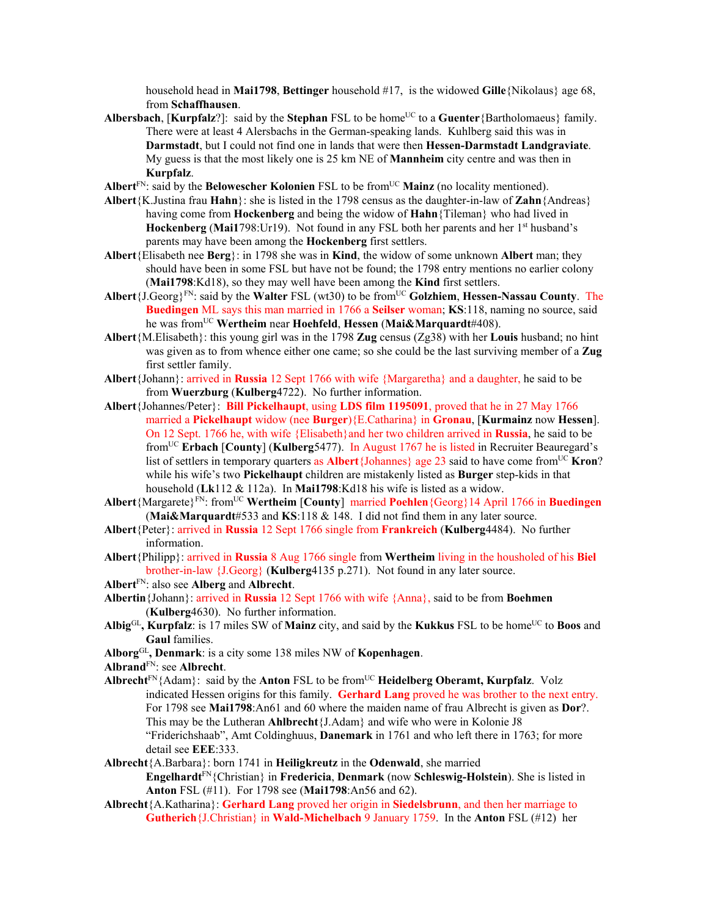household head in **Mai1798**, **Bettinger** household #17, is the widowed **Gille**{Nikolaus} age 68, from **Schaffhausen**.

- **Albersbach, [Kurpfalz**?]: said by the **Stephan** FSL to be home<sup>UC</sup> to a **Guenter**{Bartholomaeus} family. There were at least 4 Alersbachs in the German-speaking lands. Kuhlberg said this was in **Darmstadt**, but I could not find one in lands that were then **Hessen-Darmstadt Landgraviate**. My guess is that the most likely one is 25 km NE of **Mannheim** city centre and was then in **Kurpfalz**.
- Albert<sup>FN</sup>: said by the **Belowescher Kolonien** FSL to be from<sup>UC</sup> Mainz (no locality mentioned).
- **Albert**{K.Justina frau **Hahn**}: she is listed in the 1798 census as the daughter-in-law of **Zahn**{Andreas} having come from **Hockenberg** and being the widow of **Hahn**{Tileman} who had lived in **Hockenberg** (Mai1798:Ur19). Not found in any FSL both her parents and her 1<sup>st</sup> husband's parents may have been among the **Hockenberg** first settlers.
- **Albert**{Elisabeth nee **Berg**}: in 1798 she was in **Kind**, the widow of some unknown **Albert** man; they should have been in some FSL but have not be found; the 1798 entry mentions no earlier colony (**Mai1798**:Kd18), so they may well have been among the **Kind** first settlers.
- **Albert**{J.Georg}FN: said by the **Walter** FSL (wt30) to be fromUC **Golzhiem**, **Hessen-Nassau County**. The **Buedingen** ML says this man married in 1766 a **Seilser** woman; **KS**:118, naming no source, said he was fromUC **Wertheim** near **Hoehfeld**, **Hessen** (**Mai&Marquardt**#408).
- **Albert**{M.Elisabeth}: this young girl was in the 1798 **Zug** census (Zg38) with her **Louis** husband; no hint was given as to from whence either one came; so she could be the last surviving member of a **Zug** first settler family.
- **Albert**{Johann}: arrived in **Russia** 12 Sept 1766 with wife {Margaretha} and a daughter, he said to be from **Wuerzburg** (**Kulberg**4722). No further information.
- **Albert**{Johannes/Peter}: **Bill Pickelhaupt**, using **LDS film 1195091**, proved that he in 27 May 1766 married a **Pickelhaupt** widow (nee **Burger**){E.Catharina} in **Gronau**, [**Kurmainz** now **Hessen**]. On 12 Sept. 1766 he, with wife {Elisabeth}and her two children arrived in **Russia**, he said to be fromUC **Erbach** [**County**] (**Kulberg**5477). In August 1767 he is listed in Recruiter Beauregard's list of settlers in temporary quarters as **Albert**{Johannes} age 23 said to have come from<sup>UC</sup> **Kron**? while his wife's two **Pickelhaupt** children are mistakenly listed as **Burger** step-kids in that household (**Lk**112 & 112a). In **Mai1798**:Kd18 his wife is listed as a widow.
- **Albert**{Margarete}FN: fromUC **Wertheim** [**County**] married **Poehlen**{Georg}14 April 1766 in **Buedingen** (**Mai&Marquardt**#533 and **KS**:118 & 148. I did not find them in any later source.
- **Albert**{Peter}: arrived in **Russia** 12 Sept 1766 single from **Frankreich** (**Kulberg**4484). No further information.
- **Albert**{Philipp}: arrived in **Russia** 8 Aug 1766 single from **Wertheim** living in the housholed of his **Biel**  brother-in-law {J.Georg} (**Kulberg**4135 p.271). Not found in any later source.
- **Albert**FN: also see **Alberg** and **Albrecht**.
- **Albertin**{Johann}: arrived in **Russia** 12 Sept 1766 with wife {Anna}, said to be from **Boehmen**  (**Kulberg**4630). No further information.
- Albig<sup>GL</sup>, Kurpfalz: is 17 miles SW of Mainz city, and said by the Kukkus FSL to be home<sup>UC</sup> to Boos and **Gaul** families.
- **Alborg**GL**, Denmark**: is a city some 138 miles NW of **Kopenhagen**.
- **Albrand**FN: see **Albrecht**.
- **Albrecht**FN{Adam}: said by the **Anton** FSL to be fromUC **Heidelberg Oberamt, Kurpfalz**. Volz indicated Hessen origins for this family. **Gerhard Lang** proved he was brother to the next entry. For 1798 see **Mai1798**:An61 and 60 where the maiden name of frau Albrecht is given as **Dor**?. This may be the Lutheran **Ahlbrecht**{J.Adam} and wife who were in Kolonie J8 "Friderichshaab", Amt Coldinghuus, **Danemark** in 1761 and who left there in 1763; for more detail see **EEE**:333.
- **Albrecht**{A.Barbara}: born 1741 in **Heiligkreutz** in the **Odenwald**, she married **Engelhardt**FN{Christian} in **Fredericia**, **Denmark** (now **Schleswig-Holstein**). She is listed in **Anton** FSL (#11). For 1798 see (**Mai1798**:An56 and 62).
- **Albrecht**{A.Katharina}: **Gerhard Lang** proved her origin in **Siedelsbrunn**, and then her marriage to **Gutherich**{J.Christian} in **Wald-Michelbach** 9 January 1759. In the **Anton** FSL (#12) her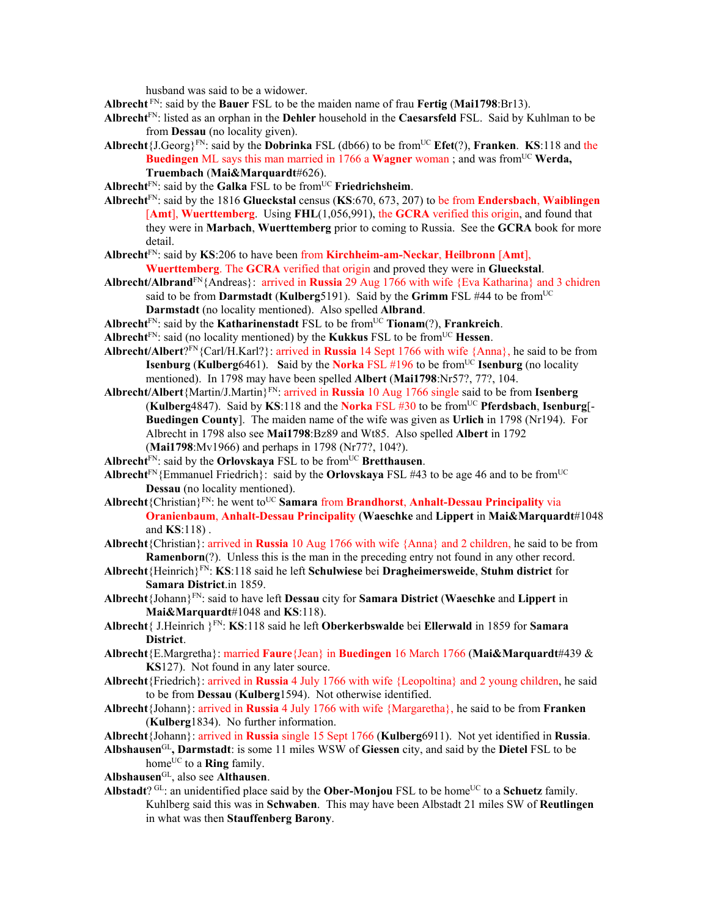husband was said to be a widower.

**Albrecht** FN: said by the **Bauer** FSL to be the maiden name of frau **Fertig** (**Mai1798**:Br13).

- **Albrecht**FN: listed as an orphan in the **Dehler** household in the **Caesarsfeld** FSL. Said by Kuhlman to be from **Dessau** (no locality given).
- **Albrecht** $\{J.Georg\}^{FN}$ : said by the **Dobrinka** FSL (db66) to be from<sup>UC</sup> **Efet**(?), **Franken**. **KS**:118 and the **Buedingen** ML says this man married in 1766 a **Wagner** woman; and was from<sup>UC</sup> **Werda**, **Truembach** (**Mai&Marquardt**#626).
- **Albrecht**<sup>FN</sup>: said by the **Galka** FSL to be from<sup>UC</sup> **Friedrichsheim**.
- **Albrecht**FN: said by the 1816 **Glueckstal** census (**KS**:670, 673, 207) to be from **Endersbach**, **Waiblingen** [**Amt**], **Wuerttemberg**. Using **FHL**(1,056,991), the **GCRA** verified this origin, and found that they were in **Marbach**, **Wuerttemberg** prior to coming to Russia. See the **GCRA** book for more detail.
- **Albrecht**FN: said by **KS**:206 to have been from **Kirchheim-am-Neckar**, **Heilbronn** [**Amt**], **Wuerttemberg**. The **GCRA** verified that origin and proved they were in **Glueckstal**.
- **Albrecht/Albrand**FN{Andreas}: arrived in **Russia** 29 Aug 1766 with wife {Eva Katharina} and 3 chidren said to be from **Darmstadt** (**Kulberg**5191). Said by the **Grimm** FSL #44 to be from<sup>UC</sup> **Darmstadt** (no locality mentioned). Also spelled **Albrand**.
- **Albrecht**FN: said by the **Katharinenstadt** FSL to be fromUC **Tionam**(?), **Frankreich**.
- Albrecht<sup>FN</sup>: said (no locality mentioned) by the **Kukkus** FSL to be from<sup>UC</sup> **Hessen**.
- **Albrecht/Albert**?FN{Carl/H.Karl?}: arrived in **Russia** 14 Sept 1766 with wife {Anna}, he said to be from **Isenburg (Kulberg6461).** Said by the **Norka** FSL  $#196$  to be from<sup>UC</sup> **Isenburg** (no locality mentioned). In 1798 may have been spelled **Albert** (**Mai1798**:Nr57?, 77?, 104.
- **Albrecht/Albert**{Martin/J.Martin}FN: arrived in **Russia** 10 Aug 1766 single said to be from **Isenberg**  (**Kulberg**4847). Said by **KS**:118 and the **Norka** FSL #30 to be fromUC **Pferdsbach**, **Isenburg**[- **Buedingen County**]. The maiden name of the wife was given as **Urlich** in 1798 (Nr194). For Albrecht in 1798 also see **Mai1798**:Bz89 and Wt85. Also spelled **Albert** in 1792 (**Mai1798**:Mv1966) and perhaps in 1798 (Nr77?, 104?).
- Albrecht<sup>FN</sup>: said by the **Orlovskaya** FSL to be from<sup>UC</sup> Bretthausen.
- **Albrecht**<sup>FN</sup>{Emmanuel Friedrich}: said by the **Orlovskaya** FSL #43 to be age 46 and to be from<sup>UC</sup> **Dessau** (no locality mentioned).
- Albrecht {Christian}<sup>FN</sup>: he went to<sup>UC</sup> **Samara from Brandhorst**, **Anhalt-Dessau Principality** via **Oranienbaum**, **Anhalt-Dessau Principality** (**Waeschke** and **Lippert** in **Mai&Marquardt**#1048 and **KS**:118) .
- **Albrecht**{Christian}: arrived in **Russia** 10 Aug 1766 with wife {Anna} and 2 children, he said to be from **Ramenborn**(?). Unless this is the man in the preceding entry not found in any other record.
- **Albrecht**{Heinrich}FN: **KS**:118 said he left **Schulwiese** bei **Dragheimersweide**, **Stuhm district** for **Samara District**.in 1859.
- **Albrecht**{Johann}FN: said to have left **Dessau** city for **Samara District** (**Waeschke** and **Lippert** in **Mai&Marquardt**#1048 and **KS**:118).
- **Albrecht**{ J.Heinrich }FN: **KS**:118 said he left **Oberkerbswalde** bei **Ellerwald** in 1859 for **Samara District**.
- **Albrecht**{E.Margretha}: married **Faure**{Jean} in **Buedingen** 16 March 1766 (**Mai&Marquardt**#439 & **KS**127). Not found in any later source.
- **Albrecht**{Friedrich}: arrived in **Russia** 4 July 1766 with wife {Leopoltina} and 2 young children, he said to be from **Dessau** (**Kulberg**1594). Not otherwise identified.
- **Albrecht**{Johann}: arrived in **Russia** 4 July 1766 with wife {Margaretha}, he said to be from **Franken** (**Kulberg**1834). No further information.
- **Albrecht**{Johann}: arrived in **Russia** single 15 Sept 1766 (**Kulberg**6911). Not yet identified in **Russia**.
- **Albshausen**GL**, Darmstadt**: is some 11 miles WSW of **Giessen** city, and said by the **Dietel** FSL to be home<sup>UC</sup> to a **Ring** family.
- **Albshausen**GL, also see **Althausen**.
- **Albstadt**?  ${}^{GL}$ : an unidentified place said by the **Ober-Moniou** FSL to be home<sup>UC</sup> to a **Schuetz** family. Kuhlberg said this was in **Schwaben**. This may have been Albstadt 21 miles SW of **Reutlingen** in what was then **Stauffenberg Barony**.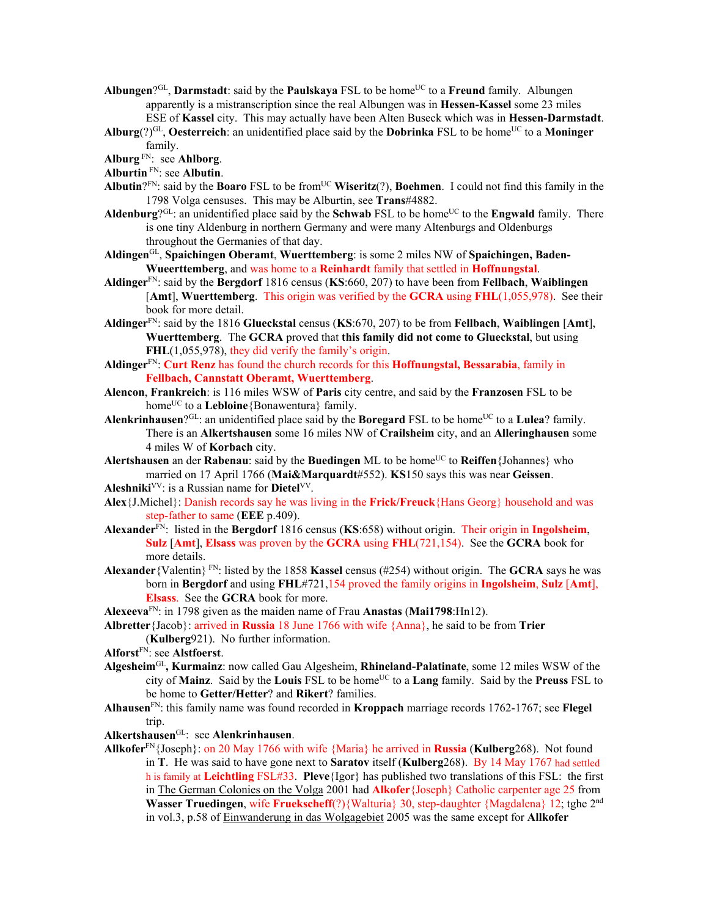Albungen?<sup>GL</sup>, Darmstadt: said by the Paulskaya FSL to be home<sup>UC</sup> to a Freund family. Albungen apparently is a mistranscription since the real Albungen was in **Hessen-Kassel** some 23 miles ESE of **Kassel** city. This may actually have been Alten Buseck which was in **Hessen-Darmstadt**.

**Alburg**(?)GL, **Oesterreich**: an unidentified place said by the **Dobrinka** FSL to be homeUC to a **Moninger** family.

**Alburg** FN: see **Ahlborg**.

**Alburtin** FN: see **Albutin**.

- **Albutin**?FN: said by the **Boaro** FSL to be fromUC **Wiseritz**(?), **Boehmen**. I could not find this family in the 1798 Volga censuses. This may be Alburtin, see **Trans**#4882.
- **Aldenburg**? $G<sup>L</sup>$ : an unidentified place said by the **Schwab** FSL to be home<sup>UC</sup> to the **Engwald** family. There is one tiny Aldenburg in northern Germany and were many Altenburgs and Oldenburgs throughout the Germanies of that day.

**Aldingen**GL, **Spaichingen Oberamt**, **Wuerttemberg**: is some 2 miles NW of **Spaichingen, Baden-Wueerttemberg**, and was home to a **Reinhardt** family that settled in **Hoffnungstal**.

- **Aldinger**FN: said by the **Bergdorf** 1816 census (**KS**:660, 207) to have been from **Fellbach**, **Waiblingen**  [**Amt**], **Wuerttemberg**. This origin was verified by the **GCRA** using **FHL**(1,055,978). See their book for more detail.
- **Aldinger**FN: said by the 1816 **Glueckstal** census (**KS**:670, 207) to be from **Fellbach**, **Waiblingen** [**Amt**], **Wuerttemberg**. The **GCRA** proved that **this family did not come to Glueckstal**, but using **FHL**(1,055,978), they did verify the family's origin.

**Aldinger**FN: **Curt Renz** has found the church records for this **Hoffnungstal, Bessarabia**, family in **Fellbach, Cannstatt Oberamt, Wuerttemberg**.

- **Alencon**, **Frankreich**: is 116 miles WSW of **Paris** city centre, and said by the **Franzosen** FSL to be home<sup>UC</sup> to a **Lebloine**{Bonawentura} family.
- Alenkrinhausen?<sup>GL</sup>: an unidentified place said by the **Boregard** FSL to be home<sup>UC</sup> to a Lulea? family. There is an **Alkertshausen** some 16 miles NW of **Crailsheim** city, and an **Alleringhausen** some 4 miles W of **Korbach** city.

**Alertshausen** an der **Rabenau**: said by the **Buedingen** ML to be home<sup>UC</sup> to **Reiffen**{Johannes} who married on 17 April 1766 (**Mai&Marquardt**#552). **KS**150 says this was near **Geissen**.

**Aleshniki**VV: is a Russian name for **Dietel**VV.

- **Alex**{J.Michel}: Danish records say he was living in the **Frick/Freuck**{Hans Georg} household and was step-father to same (**EEE** p.409).
- **Alexander**FN: listed in the **Bergdorf** 1816 census (**KS**:658) without origin. Their origin in **Ingolsheim**, **Sulz** [**Amt**], **Elsass** was proven by the **GCRA** using **FHL**(721,154). See the **GCRA** book for more details.
- **Alexander**{Valentin} FN: listed by the 1858 **Kassel** census (#254) without origin. The **GCRA** says he was born in **Bergdorf** and using **FHL**#721,154 proved the family origins in **Ingolsheim**, **Sulz** [**Amt**], **Elsass**. See the **GCRA** book for more.

**Alexeeva**FN: in 1798 given as the maiden name of Frau **Anastas** (**Mai1798**:Hn12).

**Albretter**{Jacob}: arrived in **Russia** 18 June 1766 with wife {Anna}, he said to be from **Trier**  (**Kulberg**921). No further information.

**Alforst**FN: see **Alstfoerst**.

- **Algesheim**GL**, Kurmainz**: now called Gau Algesheim, **Rhineland-Palatinate**, some 12 miles WSW of the city of **Mainz**. Said by the **Louis** FSL to be homeUC to a **Lang** family. Said by the **Preuss** FSL to be home to **Getter/Hetter**? and **Rikert**? families.
- **Alhausen**FN: this family name was found recorded in **Kroppach** marriage records 1762-1767; see **Flegel** trip.

**Alkertshausen**GL: see **Alenkrinhausen**.

**Allkofer**FN{Joseph}: on 20 May 1766 with wife {Maria} he arrived in **Russia** (**Kulberg**268). Not found in **T**. He was said to have gone next to **Saratov** itself (**Kulberg**268). By 14 May 1767 had settled h is family at **Leichtling** FSL#33. **Pleve**{Igor} has published two translations of this FSL: the first in The German Colonies on the Volga 2001 had **Alkofer**{Joseph} Catholic carpenter age 25 from **Wasser Truedingen, wife Fruekscheff**(?){Walturia} 30, step-daughter {Magdalena} 12; tghe 2<sup>nd</sup> in vol.3, p.58 of Einwanderung in das Wolgagebiet 2005 was the same except for **Allkofer**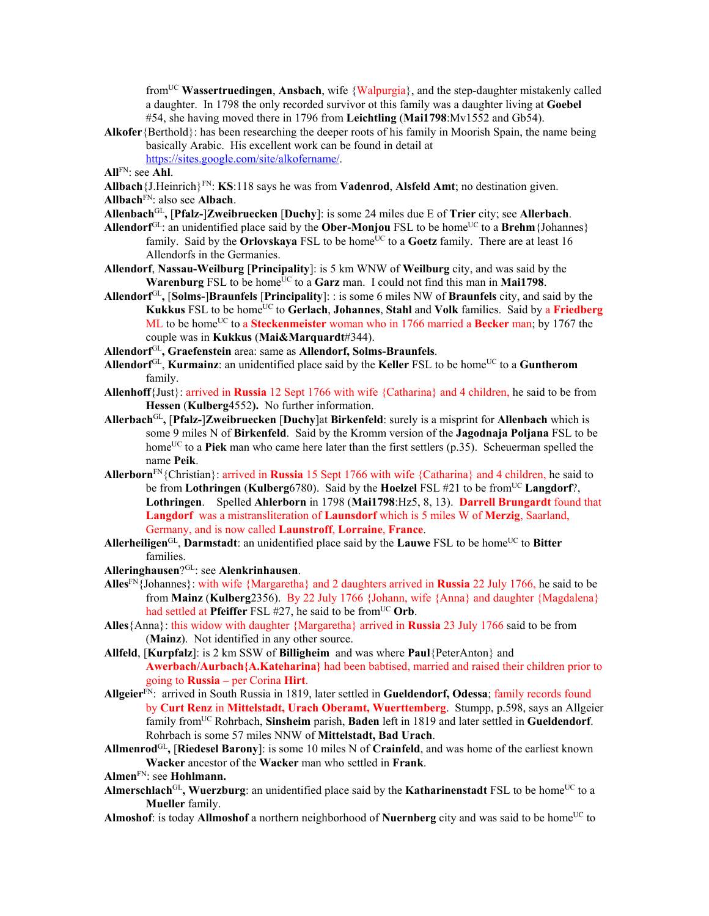fromUC **Wassertruedingen**, **Ansbach**, wife {Walpurgia}, and the step-daughter mistakenly called a daughter. In 1798 the only recorded survivor ot this family was a daughter living at **Goebel** #54, she having moved there in 1796 from **Leichtling** (**Mai1798**:Mv1552 and Gb54).

**Alkofer**{Berthold}: has been researching the deeper roots of his family in Moorish Spain, the name being basically Arabic. His excellent work can be found in detail at

https://sites.google.com/site/alkofername/.

**All**FN: see **Ahl**.

- **Allbach**{J.Heinrich}FN: **KS**:118 says he was from **Vadenrod**, **Alsfeld Amt**; no destination given.
- **Allbach**FN: also see **Albach**.
- **Allenbach**GL**,** [**Pfalz-**]**Zweibruecken** [**Duchy**]: is some 24 miles due E of **Trier** city; see **Allerbach**.
- Allendorf<sup>GL</sup>: an unidentified place said by the **Ober-Monjou** FSL to be home<sup>UC</sup> to a **Brehm** {Johannes} family. Said by the **Orlovskaya** FSL to be home<sup>UC</sup> to a **Goetz** family. There are at least 16 Allendorfs in the Germanies.
- **Allendorf**, **Nassau-Weilburg** [**Principality**]: is 5 km WNW of **Weilburg** city, and was said by the **Warenburg** FSL to be home<sup>UC</sup> to a Garz man. I could not find this man in Mai1798.
- **Allendorf**GL**,** [**Solms-**]**Braunfels** [**Principality**]: : is some 6 miles NW of **Braunfels** city, and said by the **Kukkus** FSL to be homeUC to **Gerlach**, **Johannes**, **Stahl** and **Volk** families. Said by a **Friedberg** ML to be home<sup>UC</sup> to a **Steckenmeister** woman who in 1766 married a **Becker** man; by 1767 the couple was in **Kukkus** (**Mai&Marquardt**#344).
- **Allendorf**GL**, Graefenstein** area: same as **Allendorf, Solms-Braunfels**.
- Allendorf<sup>GL</sup>, **Kurmainz**: an unidentified place said by the **Keller** FSL to be home<sup>UC</sup> to a **Guntherom** family.
- **Allenhoff**{Just}: arrived in **Russia** 12 Sept 1766 with wife {Catharina} and 4 children, he said to be from **Hessen** (**Kulberg**4552**).** No further information.
- **Allerbach**GL**,** [**Pfalz-**]**Zweibruecken** [**Duchy**]at **Birkenfeld**: surely is a misprint for **Allenbach** which is some 9 miles N of **Birkenfeld**. Said by the Kromm version of the **Jagodnaja Poljana** FSL to be home<sup>UC</sup> to a **Piek** man who came here later than the first settlers (p.35). Scheuerman spelled the name **Peik**.
- **Allerborn**FN{Christian}: arrived in **Russia** 15 Sept 1766 with wife {Catharina} and 4 children, he said to be from **Lothringen** (**Kulberg**6780). Said by the **Hoelzel** FSL #21 to be fromUC **Langdorf**?, **Lothringen**. Spelled **Ahlerborn** in 1798 (**Mai1798**:Hz5, 8, 13). **Darrell Brungardt** found that **Langdorf** was a mistransliteration of **Launsdorf** which is 5 miles W of **Merzig**, Saarland, Germany, and is now called **Launstroff**, **Lorraine**, **France**.
- Allerheiligen<sup>GL</sup>, Darmstadt: an unidentified place said by the Lauwe FSL to be home<sup>UC</sup> to Bitter families.
- **Alleringhausen**?GL: see **Alenkrinhausen**.
- **Alles**FN{Johannes}: with wife {Margaretha} and 2 daughters arrived in **Russia** 22 July 1766, he said to be from **Mainz** (**Kulberg**2356). By 22 July 1766 {Johann, wife {Anna} and daughter {Magdalena} had settled at **Pfeiffer** FSL #27, he said to be from<sup>UC</sup> Orb.
- **Alles**{Anna}: this widow with daughter {Margaretha} arrived in **Russia** 23 July 1766 said to be from (**Mainz**). Not identified in any other source.
- **Allfeld**, [**Kurpfalz**]: is 2 km SSW of **Billigheim** and was where **Paul**{PeterAnton} and **Awerbach/Aurbach{A.Kateharina}** had been babtised, married and raised their children prior to going to **Russia –** per Corina **Hirt**.
- **Allgeier**FN: arrived in South Russia in 1819, later settled in **Gueldendorf, Odessa**; family records found by **Curt Renz** in **Mittelstadt, Urach Oberamt, Wuerttemberg**. Stumpp, p.598, says an Allgeier family fromUC Rohrbach, **Sinsheim** parish, **Baden** left in 1819 and later settled in **Gueldendorf**. Rohrbach is some 57 miles NNW of **Mittelstadt, Bad Urach**.
- **Allmenrod**GL**,** [**Riedesel Barony**]: is some 10 miles N of **Crainfeld**, and was home of the earliest known **Wacker** ancestor of the **Wacker** man who settled in **Frank**.
- **Almen**FN: see **Hohlmann.**
- Almerschlach<sup>GL</sup>, Wuerzburg: an unidentified place said by the **Katharinenstadt** FSL to be home<sup>UC</sup> to a **Mueller** family.
- **Almoshof**: is today **Allmoshof** a northern neighborhood of **Nuernberg** city and was said to be home<sup>UC</sup> to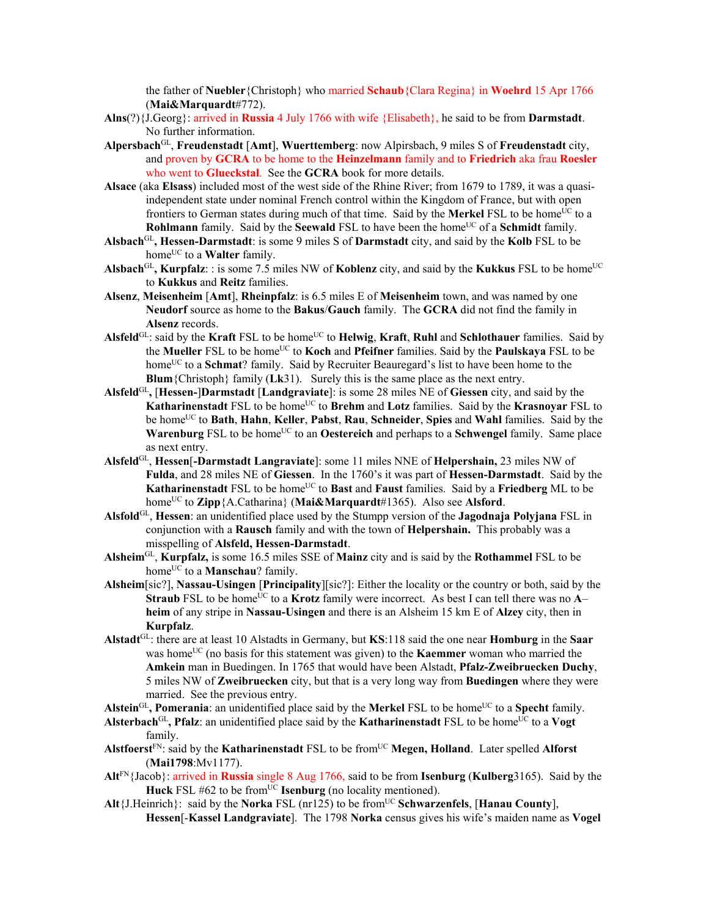the father of **Nuebler**{Christoph} who married **Schaub**{Clara Regina} in **Woehrd** 15 Apr 1766 (**Mai&Marquardt**#772).

- **Alns**(?){J.Georg}: arrived in **Russia** 4 July 1766 with wife {Elisabeth}, he said to be from **Darmstadt**. No further information.
- **Alpersbach**GL, **Freudenstadt** [**Amt**], **Wuerttemberg**: now Alpirsbach, 9 miles S of **Freudenstadt** city, and proven by **GCRA** to be home to the **Heinzelmann** family and to **Friedrich** aka frau **Roesler** who went to **Glueckstal**. See the **GCRA** book for more details.
- **Alsace** (aka **Elsass**) included most of the west side of the Rhine River; from 1679 to 1789, it was a quasiindependent state under nominal French control within the Kingdom of France, but with open frontiers to German states during much of that time. Said by the **Merkel** FSL to be home<sup>UC</sup> to a **Rohlmann** family. Said by the **Seewald** FSL to have been the home<sup>UC</sup> of a **Schmidt** family.
- **Alsbach**GL**, Hessen-Darmstadt**: is some 9 miles S of **Darmstadt** city, and said by the **Kolb** FSL to be home<sup>UC</sup> to a **Walter** family.
- Alsbach<sup>GL</sup>, Kurpfalz: : is some 7.5 miles NW of Koblenz city, and said by the Kukkus FSL to be home<sup>UC</sup> to **Kukkus** and **Reitz** families.
- **Alsenz**, **Meisenheim** [**Amt**], **Rheinpfalz**: is 6.5 miles E of **Meisenheim** town, and was named by one **Neudorf** source as home to the **Bakus**/**Gauch** family. The **GCRA** did not find the family in **Alsenz** records.
- Alsfeld<sup>GL</sup>: said by the Kraft FSL to be home<sup>UC</sup> to **Helwig**, Kraft, Ruhl and Schlothauer families. Said by the **Mueller** FSL to be homeUC to **Koch** and **Pfeifner** families. Said by the **Paulskaya** FSL to be homeUC to a **Schmat**? family. Said by Recruiter Beauregard's list to have been home to the **Blum**{Christoph} family (**Lk**31). Surely this is the same place as the next entry.
- **Alsfeld**GL**,** [**Hessen-**]**Darmstadt** [**Landgraviate**]: is some 28 miles NE of **Giessen** city, and said by the **Katharinenstadt** FSL to be home<sup>UC</sup> to **Brehm** and **Lotz** families. Said by the **Krasnoyar** FSL to be homeUC to **Bath**, **Hahn**, **Keller**, **Pabst**, **Rau**, **Schneider**, **Spies** and **Wahl** families. Said by the **Warenburg** FSL to be home<sup>UC</sup> to an **Oestereich** and perhaps to a **Schwengel** family. Same place as next entry.
- **Alsfeld**GL, **Hessen**[**-Darmstadt Langraviate**]: some 11 miles NNE of **Helpershain,** 23 miles NW of **Fulda**, and 28 miles NE of **Giessen**. In the 1760's it was part of **Hessen-Darmstadt**. Said by the **Katharinenstadt** FSL to be home<sup>UC</sup> to **Bast** and **Faust** families. Said by a **Friedberg** ML to be home<sup>UC</sup> to **Zipp**{A.Catharina} (Mai&Marquardt#1365). Also see Alsford.
- **Alsfold**GL, **Hessen**: an unidentified place used by the Stumpp version of the **Jagodnaja Polyjana** FSL in conjunction with a **Rausch** family and with the town of **Helpershain.** This probably was a misspelling of **Alsfeld, Hessen-Darmstadt**.
- **Alsheim**GL, **Kurpfalz,** is some 16.5 miles SSE of **Mainz** city and is said by the **Rothammel** FSL to be home<sup>UC</sup> to a **Manschau**? family.
- **Alsheim**[sic?], **Nassau-Usingen** [**Principality**][sic?]: Either the locality or the country or both, said by the **Straub** FSL to be home<sup>UC</sup> to a **Krotz** family were incorrect. As best I can tell there was no  $\overline{A}$ – **heim** of any stripe in **Nassau-Usingen** and there is an Alsheim 15 km E of **Alzey** city, then in **Kurpfalz**.
- **Alstadt**GL: there are at least 10 Alstadts in Germany, but **KS**:118 said the one near **Homburg** in the **Saar**  was home<sup>UC</sup> (no basis for this statement was given) to the **Kaemmer** woman who married the **Amkein** man in Buedingen. In 1765 that would have been Alstadt, **Pfalz-Zweibruecken Duchy**, 5 miles NW of **Zweibruecken** city, but that is a very long way from **Buedingen** where they were married. See the previous entry.

**Alstein**GL**, Pomerania**: an unidentified place said by the **Merkel** FSL to be homeUC to a **Specht** family.

- Alsterbach<sup>GL</sup>, Pfalz: an unidentified place said by the **Katharinenstadt** FSL to be home<sup>UC</sup> to a **Vogt** family.
- **Alstfoerst**FN: said by the **Katharinenstadt** FSL to be fromUC **Megen, Holland**. Later spelled **Alforst** (**Mai1798**:Mv1177).
- **Alt**FN{Jacob}: arrived in **Russia** single 8 Aug 1766, said to be from **Isenburg** (**Kulberg**3165). Said by the **Huck** FSL #62 to be from<sup>UC</sup> **Isenburg** (no locality mentioned).
- **Alt**{J.Heinrich}: said by the **Norka** FSL (nr125) to be fromUC **Schwarzenfels**, [**Hanau County**], **Hessen**[-**Kassel Landgraviate**]. The 1798 **Norka** census gives his wife's maiden name as **Vogel**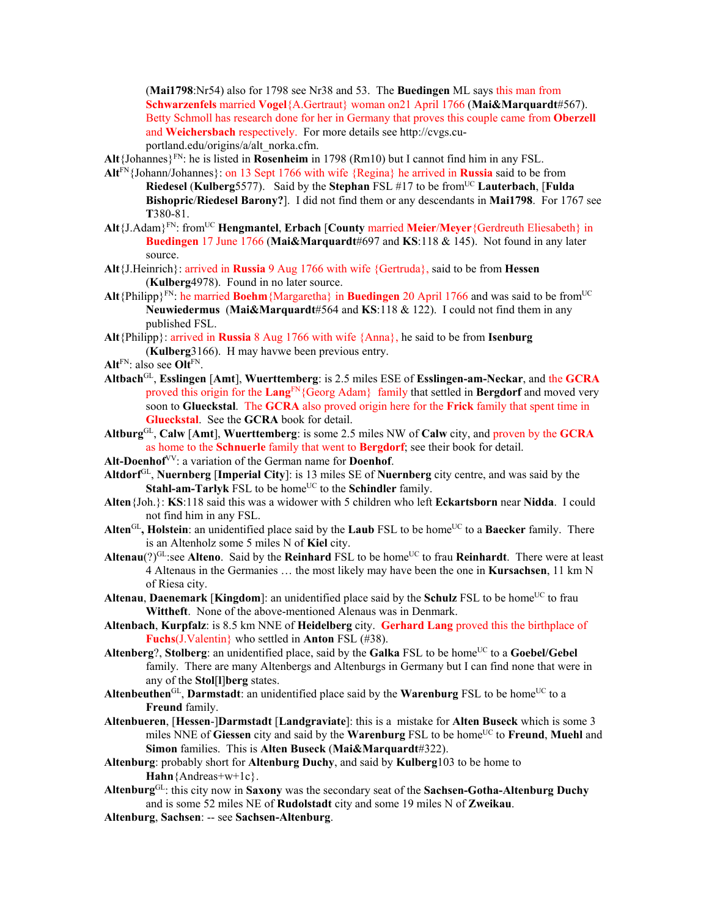(**Mai1798**:Nr54) also for 1798 see Nr38 and 53. The **Buedingen** ML says this man from **Schwarzenfels** married **Vogel**{A.Gertraut} woman on21 April 1766 (**Mai&Marquardt**#567). Betty Schmoll has research done for her in Germany that proves this couple came from **Oberzell** and **Weichersbach** respectively. For more details see http://cvgs.cuportland.edu/origins/a/alt\_norka.cfm.

**Alt**{Johannes}FN: he is listed in **Rosenheim** in 1798 (Rm10) but I cannot find him in any FSL.

- **Alt**FN{Johann/Johannes}: on 13 Sept 1766 with wife {Regina} he arrived in **Russia** said to be from **Riedesel (Kulberg**5577). Said by the **Stephan** FSL #17 to be from<sup>UC</sup> Lauterbach, [Fulda] **Bishopric**/**Riedesel Barony?**]. I did not find them or any descendants in **Mai1798**. For 1767 see **T**380-81.
- **Alt**{J.Adam}FN: fromUC **Hengmantel**, **Erbach** [**County** married **Meier**/**Meyer**{Gerdreuth Eliesabeth} in **Buedingen** 17 June 1766 (**Mai&Marquardt**#697 and **KS**:118 & 145). Not found in any later source.
- **Alt**{J.Heinrich}: arrived in **Russia** 9 Aug 1766 with wife {Gertruda}, said to be from **Hessen**  (**Kulberg**4978). Found in no later source.
- **Alt**{Philipp}<sup>FN</sup>: he married **Boehm**{Margaretha} in **Buedingen** 20 April 1766 and was said to be from<sup>UC</sup> **Neuwiedermus** (**Mai&Marquardt**#564 and **KS**:118 & 122). I could not find them in any published FSL.
- **Alt**{Philipp}: arrived in **Russia** 8 Aug 1766 with wife {Anna}, he said to be from **Isenburg**  (**Kulberg**3166). H may havwe been previous entry.
- **Alt**FN: also see **Olt**FN.
- **Altbach**GL, **Esslingen** [**Amt**], **Wuerttemberg**: is 2.5 miles ESE of **Esslingen-am-Neckar**, and the **GCRA** proved this origin for the **Lang**FN{Georg Adam} family that settled in **Bergdorf** and moved very soon to **Glueckstal**. The **GCRA** also proved origin here for the **Frick** family that spent time in **Glueckstal**. See the **GCRA** book for detail.
- **Altburg**GL, **Calw** [**Amt**], **Wuerttemberg**: is some 2.5 miles NW of **Calw** city, and proven by the **GCRA** as home to the **Schnuerle** family that went to **Bergdorf**; see their book for detail.
- **Alt-Doenhof**VV: a variation of the German name for **Doenhof**.
- **Altdorf**GL, **Nuernberg** [**Imperial City**]: is 13 miles SE of **Nuernberg** city centre, and was said by the **Stahl-am-Tarlyk** FSL to be home<sup>UC</sup> to the **Schindler** family.
- **Alten**{Joh.}: **KS**:118 said this was a widower with 5 children who left **Eckartsborn** near **Nidda**. I could not find him in any FSL.
- Alten<sup>GL</sup>, Holstein: an unidentified place said by the **Laub** FSL to be home<sup>UC</sup> to a **Baecker** family. There is an Altenholz some 5 miles N of **Kiel** city.
- Altenau(?)<sup>GL</sup>:see Alteno. Said by the Reinhard FSL to be home<sup>UC</sup> to frau Reinhardt. There were at least 4 Altenaus in the Germanies … the most likely may have been the one in **Kursachsen**, 11 km N of Riesa city.
- **Altenau, Daenemark [Kingdom]:** an unidentified place said by the **Schulz** FSL to be home<sup>UC</sup> to frau **Wittheft**. None of the above-mentioned Alenaus was in Denmark.
- **Altenbach**, **Kurpfalz**: is 8.5 km NNE of **Heidelberg** city. **Gerhard Lang** proved this the birthplace of **Fuchs**(J.Valentin} who settled in **Anton** FSL (#38).
- Altenberg?, Stolberg: an unidentified place, said by the Galka FSL to be home<sup>UC</sup> to a Goebel/Gebel family. There are many Altenbergs and Altenburgs in Germany but I can find none that were in any of the **Stol**[**l**]**berg** states.
- Altenbeuthen<sup>GL</sup>, Darmstadt: an unidentified place said by the Warenburg FSL to be home<sup>UC</sup> to a **Freund** family.
- **Altenbueren**, [**Hessen**-]**Darmstadt** [**Landgraviate**]: this is a mistake for **Alten Buseck** which is some 3 miles NNE of Giessen city and said by the **Warenburg** FSL to be home<sup>UC</sup> to **Freund**, **Muehl** and **Simon** families. This is **Alten Buseck** (**Mai&Marquardt**#322).
- **Altenburg**: probably short for **Altenburg Duchy**, and said by **Kulberg**103 to be home to **Hahn**{Andreas+w+1c}.
- **Altenburg**GL: this city now in **Saxony** was the secondary seat of the **Sachsen-Gotha-Altenburg Duchy** and is some 52 miles NE of **Rudolstadt** city and some 19 miles N of **Zweikau**.
- **Altenburg**, **Sachsen**: -- see **Sachsen-Altenburg**.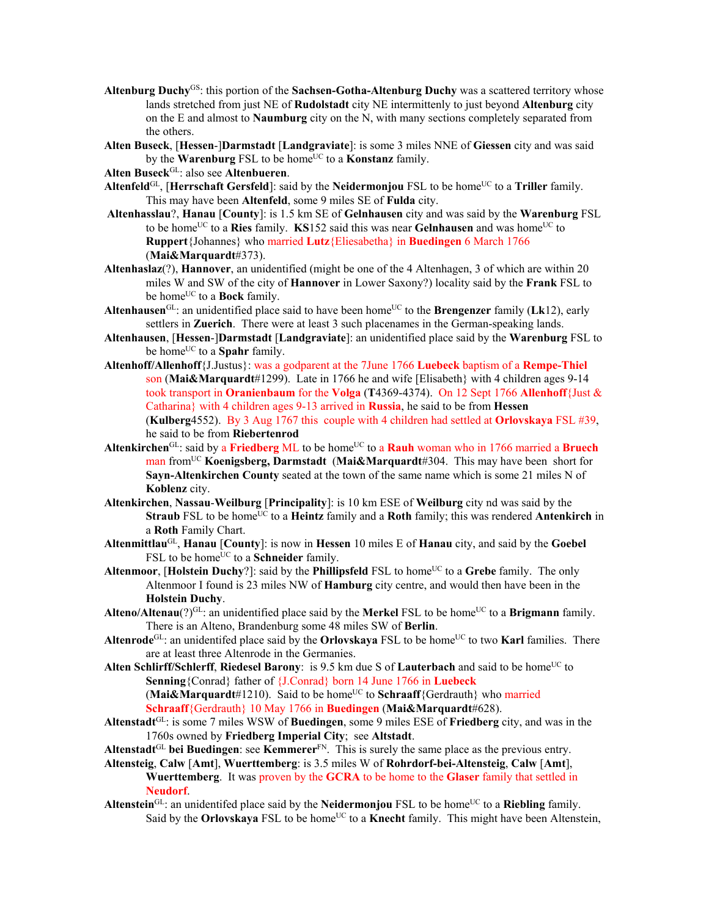- **Altenburg Duchy**GS: this portion of the **Sachsen-Gotha-Altenburg Duchy** was a scattered territory whose lands stretched from just NE of **Rudolstadt** city NE intermittenly to just beyond **Altenburg** city on the E and almost to **Naumburg** city on the N, with many sections completely separated from the others.
- **Alten Buseck**, [**Hessen**-]**Darmstadt** [**Landgraviate**]: is some 3 miles NNE of **Giessen** city and was said by the **Warenburg** FSL to be home<sup>UC</sup> to a **Konstanz** family.

**Alten Buseck**GL: also see **Altenbueren**.

- **Altenfeld**GL, [**Herrschaft Gersfeld**]: said by the **Neidermonjou** FSL to be homeUC to a **Triller** family. This may have been **Altenfeld**, some 9 miles SE of **Fulda** city.
- **Altenhasslau**?, **Hanau** [**County**]: is 1.5 km SE of **Gelnhausen** city and was said by the **Warenburg** FSL to be home<sup>UC</sup> to a **Ries** family. **KS**152 said this was near **Gelnhausen** and was home<sup>UC</sup> to **Ruppert**{Johannes} who married **Lutz**{Eliesabetha} in **Buedingen** 6 March 1766 (**Mai&Marquardt**#373).
- **Altenhaslaz**(?), **Hannover**, an unidentified (might be one of the 4 Altenhagen, 3 of which are within 20 miles W and SW of the city of **Hannover** in Lower Saxony?) locality said by the **Frank** FSL to be home<sup>UC</sup> to a **Bock** family.
- Altenhausen<sup>GL</sup>: an unidentified place said to have been home<sup>UC</sup> to the **Brengenzer** family (**Lk**12), early settlers in **Zuerich**. There were at least 3 such placenames in the German-speaking lands.
- **Altenhausen**, [**Hessen**-]**Darmstadt** [**Landgraviate**]: an unidentified place said by the **Warenburg** FSL to be home<sup>UC</sup> to a **Spahr** family.
- **Altenhoff/Allenhoff**{J.Justus}: was a godparent at the 7June 1766 **Luebeck** baptism of a **Rempe-Thiel**  son (**Mai&Marquardt**#1299). Late in 1766 he and wife [Elisabeth} with 4 children ages 9-14 took transport in **Oranienbaum** for the **Volga** (**T**4369-4374). On 12 Sept 1766 **Allenhoff**{Just & Catharina} with 4 children ages 9-13 arrived in **Russia**, he said to be from **Hessen** (**Kulberg**4552). By 3 Aug 1767 this couple with 4 children had settled at **Orlovskaya** FSL #39, he said to be from **Riebertenrod**
- Altenkirchen<sup>GL</sup>: said by a Friedberg ML to be home<sup>UC</sup> to a Rauh woman who in 1766 married a Bruech man fromUC **Koenigsberg, Darmstadt** (**Mai&Marquardt**#304. This may have been short for **Sayn-Altenkirchen County** seated at the town of the same name which is some 21 miles N of **Koblenz** city.
- **Altenkirchen**, **Nassau**-**Weilburg** [**Principality**]: is 10 km ESE of **Weilburg** city nd was said by the **Straub** FSL to be home<sup>UC</sup> to a **Heintz** family and a **Roth** family; this was rendered **Antenkirch** in a **Roth** Family Chart.
- **Altenmittlau**GL, **Hanau** [**County**]: is now in **Hessen** 10 miles E of **Hanau** city, and said by the **Goebel** FSL to be home<sup>UC</sup> to a **Schneider** family.
- **Altenmoor, [Holstein Duchy?]:** said by the **Phillipsfeld** FSL to home<sup>UC</sup> to a Grebe family. The only Altenmoor I found is 23 miles NW of **Hamburg** city centre, and would then have been in the **Holstein Duchy**.
- **Alteno/Altenau**(?)<sup>GL</sup>: an unidentified place said by the **Merkel** FSL to be home<sup>UC</sup> to a **Brigmann** family. There is an Alteno, Brandenburg some 48 miles SW of **Berlin**.
- **Altenrode**<sup>GL</sup>: an unidentifed place said by the **Orlovskaya** FSL to be home<sup>UC</sup> to two **Karl** families. There are at least three Altenrode in the Germanies.
- Alten Schlirff/Schlerff, Riedesel Barony: is 9.5 km due S of Lauterbach and said to be home<sup>UC</sup> to **Senning**{Conrad} father of {J.Conrad} born 14 June 1766 in **Luebeck** (**Mai&Marquard** $t#1210$ ). Said to be home<sup>UC</sup> to **Schraaff**{Gerdrauth} who married

**Schraaff**{Gerdrauth} 10 May 1766 in **Buedingen** (**Mai&Marquardt**#628).

- **Altenstadt**GL: is some 7 miles WSW of **Buedingen**, some 9 miles ESE of **Friedberg** city, and was in the 1760s owned by **Friedberg Imperial City**; see **Altstadt**.
- **Altenstadt**GL **bei Buedingen**: see **Kemmerer**FN. This is surely the same place as the previous entry.
- **Altensteig**, **Calw** [**Amt**], **Wuerttemberg**: is 3.5 miles W of **Rohrdorf-bei-Altensteig**, **Calw** [**Amt**], **Wuerttemberg**. It was proven by the **GCRA** to be home to the **Glaser** family that settled in **Neudorf**.
- **Altenstein**<sup>GL</sup>: an unidentifed place said by the **Neidermonjou** FSL to be home<sup>UC</sup> to a **Riebling** family. Said by the **Orlovskaya** FSL to be home<sup>UC</sup> to a **Knecht** family. This might have been Altenstein,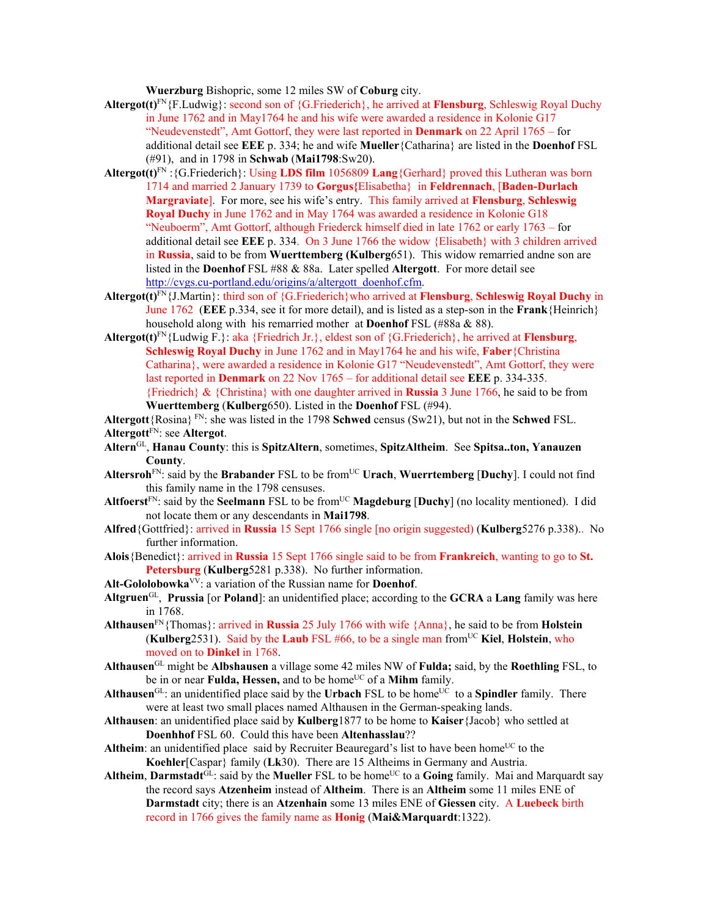**Wuerzburg** Bishopric, some 12 miles SW of **Coburg** city.

- **Altergot(t)**FN{F.Ludwig}: second son of {G.Friederich}, he arrived at **Flensburg**, Schleswig Royal Duchy in June 1762 and in May1764 he and his wife were awarded a residence in Kolonie G17 "Neudevenstedt", Amt Gottorf, they were last reported in **Denmark** on 22 April 1765 – for additional detail see **EEE** p. 334; he and wife **Mueller**{Catharina} are listed in the **Doenhof** FSL (#91), and in 1798 in **Schwab** (**Mai1798**:Sw20).
- **Altergot(t)**FN :{G.Friederich}: Using **LDS film** 1056809 **Lang**{Gerhard} proved this Lutheran was born 1714 and married 2 January 1739 to **Gorgus{**Elisabetha} in **Feldrennach**, [**Baden-Durlach Margraviate**]. For more, see his wife's entry. This family arrived at **Flensburg**, **Schleswig Royal Duchy** in June 1762 and in May 1764 was awarded a residence in Kolonie G18 "Neuboerm", Amt Gottorf, although Friederck himself died in late 1762 or early 1763 – for additional detail see **EEE** p. 334. On 3 June 1766 the widow {Elisabeth} with 3 children arrived in **Russia**, said to be from **Wuerttemberg (Kulberg**651). This widow remarried andne son are listed in the **Doenhof** FSL #88 & 88a. Later spelled **Altergott**. For more detail see http://cvgs.cu-portland.edu/origins/a/altergott\_doenhof.cfm.
- **Altergot(t)**FN{J.Martin}: third son of {G.Friederich}who arrived at **Flensburg**, **Schleswig Royal Duchy** in June 1762 (**EEE** p.334, see it for more detail), and is listed as a step-son in the **Frank**{Heinrich} household along with his remarried mother at **Doenhof** FSL (#88a & 88).
- **Altergot(t)**FN{Ludwig F.}: aka {Friedrich Jr.}, eldest son of {G.Friederich}, he arrived at **Flensburg**, **Schleswig Royal Duchy** in June 1762 and in May1764 he and his wife, **Faber**{Christina Catharina}, were awarded a residence in Kolonie G17 "Neudevenstedt", Amt Gottorf, they were last reported in **Denmark** on 22 Nov 1765 – for additional detail see **EEE** p. 334-335. {Friedrich} & {Christina} with one daughter arrived in **Russia** 3 June 1766, he said to be from **Wuerttemberg** (**Kulberg**650). Listed in the **Doenhof** FSL (#94).

**Altergott**{Rosina} FN: she was listed in the 1798 **Schwed** census (Sw21), but not in the **Schwed** FSL. **Altergott**FN: see **Altergot**.

- **Altern**GL, **Hanau County**: this is **SpitzAltern**, sometimes, **SpitzAltheim**. See **Spitsa..ton, Yanauzen County**.
- **Altersroh**FN: said by the **Brabander** FSL to be fromUC **Urach**, **Wuerrtemberg** [**Duchy**]. I could not find this family name in the 1798 censuses.
- Altfoerst<sup>FN</sup>: said by the Seelmann FSL to be from<sup>UC</sup> Magdeburg [Duchy] (no locality mentioned). I did not locate them or any descendants in **Mai1798**.
- **Alfred**{Gottfried}: arrived in **Russia** 15 Sept 1766 single [no origin suggested) (**Kulberg**5276 p.338).. No further information.
- **Alois**{Benedict}: arrived in **Russia** 15 Sept 1766 single said to be from **Frankreich**, wanting to go to **St. Petersburg** (**Kulberg**5281 p.338). No further information.
- **Alt-Gololobowka**VV: a variation of the Russian name for **Doenhof**.
- **Altgruen**GL, **Prussia** [or **Poland**]: an unidentified place; according to the **GCRA** a **Lang** family was here in 1768.
- **Althausen**FN{Thomas}: arrived in **Russia** 25 July 1766 with wife {Anna}, he said to be from **Holstein** (**Kulberg**2531). Said by the **Laub** FSL #66, to be a single man fromUC **Kiel**, **Holstein**, who moved on to **Dinkel** in 1768.
- **Althausen**GL might be **Albshausen** a village some 42 miles NW of **Fulda;** said, by the **Roethling** FSL, to be in or near **Fulda, Hessen**, and to be home<sup>UC</sup> of a **Mihm** family.
- **Althausen**<sup>GL</sup>: an unidentified place said by the **Urbach** FSL to be home<sup>UC</sup> to a **Spindler** family. There were at least two small places named Althausen in the German-speaking lands.
- **Althausen**: an unidentified place said by **Kulberg**1877 to be home to **Kaiser**{Jacob} who settled at **Doenhhof** FSL 60. Could this have been **Altenhasslau**??
- **Altheim**: an unidentified place said by Recruiter Beauregard's list to have been home<sup>UC</sup> to the **Koehler**[Caspar} family (**Lk**30). There are 15 Altheims in Germany and Austria.
- Altheim, Darmstadt $G<sup>U</sup>$ : said by the Mueller FSL to be home<sup>UC</sup> to a Going family. Mai and Marquardt say the record says **Atzenheim** instead of **Altheim**. There is an **Altheim** some 11 miles ENE of **Darmstadt** city; there is an **Atzenhain** some 13 miles ENE of **Giessen** city. A **Luebeck** birth record in 1766 gives the family name as **Honig** (**Mai&Marquardt**:1322).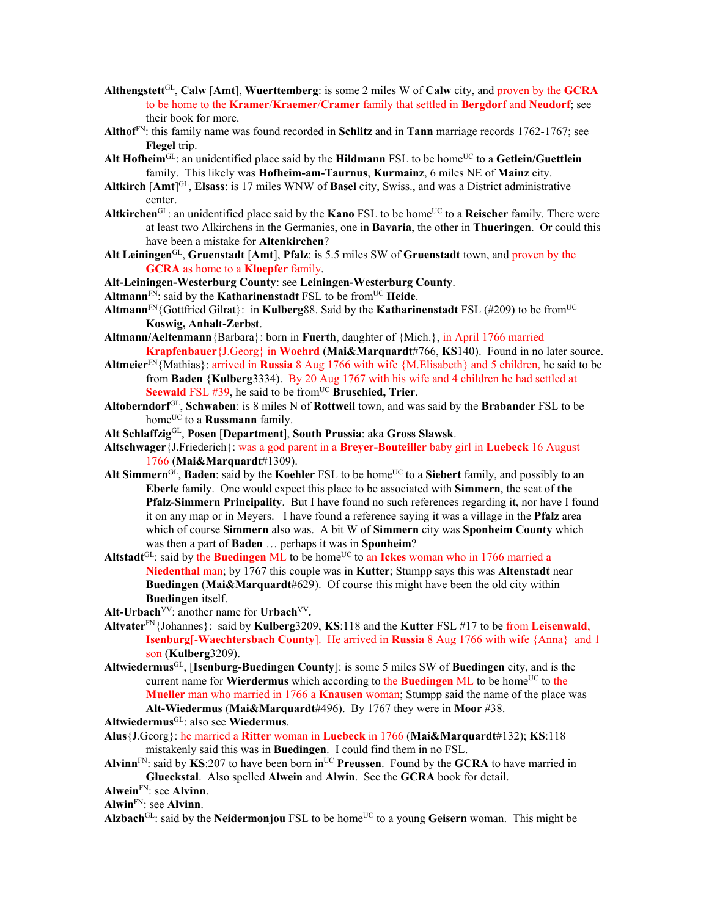- **Althengstett**GL, **Calw** [**Amt**], **Wuerttemberg**: is some 2 miles W of **Calw** city, and proven by the **GCRA** to be home to the **Kramer**/**Kraemer**/**Cramer** family that settled in **Bergdorf** and **Neudorf**; see their book for more.
- **Althof**FN: this family name was found recorded in **Schlitz** and in **Tann** marriage records 1762-1767; see **Flegel** trip.
- Alt Hofheim<sup>GL</sup>: an unidentified place said by the Hildmann FSL to be home<sup>UC</sup> to a Getlein/Guettlein family. This likely was **Hofheim-am-Taurnus**, **Kurmainz**, 6 miles NE of **Mainz** city.
- **Altkirch** [**Amt**] GL, **Elsass**: is 17 miles WNW of **Basel** city, Swiss., and was a District administrative center.
- Altkirchen<sup>GL</sup>: an unidentified place said by the **Kano** FSL to be home<sup>UC</sup> to a **Reischer** family. There were at least two Alkirchens in the Germanies, one in **Bavaria**, the other in **Thueringen**. Or could this have been a mistake for **Altenkirchen**?
- **Alt Leiningen**GL, **Gruenstadt** [**Amt**], **Pfalz**: is 5.5 miles SW of **Gruenstadt** town, and proven by the **GCRA** as home to a **Kloepfer** family.
- **Alt-Leiningen-Westerburg County**: see **Leiningen-Westerburg County**.
- **Altmann**FN: said by the **Katharinenstadt** FSL to be fromUC **Heide**.
- Altmann<sup>FN</sup>{Gottfried Gilrat}: in **Kulberg**88. Said by the **Katharinenstadt** FSL (#209) to be from<sup>UC</sup> **Koswig, Anhalt-Zerbst**.
- **Altmann/Aeltenmann**{Barbara}: born in **Fuerth**, daughter of {Mich.}, in April 1766 married **Krapfenbauer**{J.Georg} in **Woehrd** (**Mai&Marquardt**#766, **KS**140). Found in no later source.
- **Altmeier**FN{Mathias}: arrived in **Russia** 8 Aug 1766 with wife {M.Elisabeth} and 5 children, he said to be from **Baden** {**Kulberg**3334). By 20 Aug 1767 with his wife and 4 children he had settled at **Seewald** FSL #39, he said to be from<sup>UC</sup> Bruschied, Trier.
- **Altoberndorf**GL, **Schwaben**: is 8 miles N of **Rottweil** town, and was said by the **Brabander** FSL to be home<sup>UC</sup> to a **Russmann** family.
- **Alt Schlaffzig**GL, **Posen** [**Department**], **South Prussia**: aka **Gross Slawsk**.
- **Altschwager**{J.Friederich}: was a god parent in a **Breyer-Bouteiller** baby girl in **Luebeck** 16 August 1766 (**Mai&Marquardt**#1309).
- Alt Simmern<sup>GL</sup>, Baden: said by the **Koehler** FSL to be home<sup>UC</sup> to a Siebert family, and possibly to an **Eberle** family. One would expect this place to be associated with **Simmern**, the seat of **the Pfalz-Simmern Principality**. But I have found no such references regarding it, nor have I found it on any map or in Meyers. I have found a reference saying it was a village in the **Pfalz** area which of course **Simmern** also was. A bit W of **Simmern** city was **Sponheim County** which was then a part of **Baden** … perhaps it was in **Sponheim**?
- Altstadt<sup>GL</sup>: said by the **Buedingen** ML to be home<sup>UC</sup> to an **Ickes** woman who in 1766 married a **Niedenthal** man; by 1767 this couple was in **Kutter**; Stumpp says this was **Altenstadt** near **Buedingen** (**Mai&Marquardt**#629). Of course this might have been the old city within **Buedingen** itself.
- Alt-Urbach<sup>VV</sup>: another name for Urbach<sup>VV</sup>.
- **Altvater**FN{Johannes}: said by **Kulberg**3209, **KS**:118 and the **Kutter** FSL #17 to be from **Leisenwald**, **Isenburg**[-**Waechtersbach County**]. He arrived in **Russia** 8 Aug 1766 with wife {Anna} and 1 son (**Kulberg**3209).
- **Altwiedermus**GL, [**Isenburg-Buedingen County**]: is some 5 miles SW of **Buedingen** city, and is the current name for **Wierdermus** which according to the **Buedingen** ML to be home<sup>UC</sup> to the **Mueller** man who married in 1766 a **Knausen** woman; Stumpp said the name of the place was **Alt-Wiedermus** (**Mai&Marquardt**#496). By 1767 they were in **Moor** #38.

**Altwiedermus**GL: also see **Wiedermus**.

- **Alus**{J.Georg}: he married a **Ritter** woman in **Luebeck** in 1766 (**Mai&Marquardt**#132); **KS**:118 mistakenly said this was in **Buedingen**. I could find them in no FSL.
- Alvinn<sup>FN</sup>: said by **KS**:207 to have been born in<sup>UC</sup> Preussen. Found by the **GCRA** to have married in **Glueckstal**. Also spelled **Alwein** and **Alwin**. See the **GCRA** book for detail.
- **Alwein**FN: see **Alvinn**.

**Alwin**FN: see **Alvinn**.

Alzbach<sup>GL</sup>: said by the **Neidermonjou** FSL to be home<sup>UC</sup> to a young Geisern woman. This might be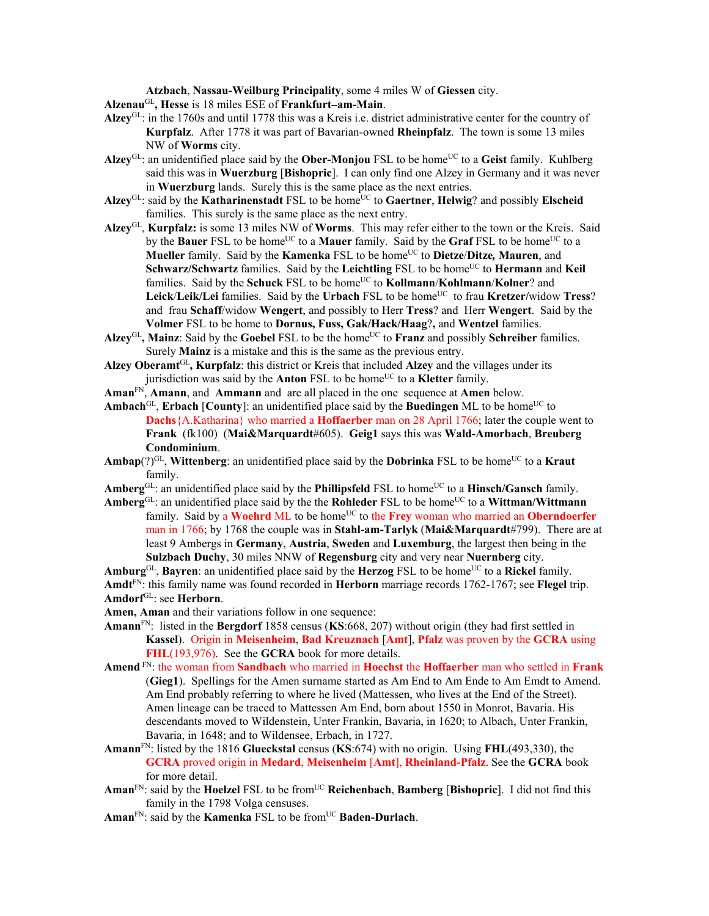**Atzbach**, **Nassau-Weilburg Principality**, some 4 miles W of **Giessen** city.

**Alzenau**GL**, Hesse** is 18 miles ESE of **Frankfurt–am-Main**.

- **Alzey**GL: in the 1760s and until 1778 this was a Kreis i.e. district administrative center for the country of **Kurpfalz**. After 1778 it was part of Bavarian-owned **Rheinpfalz**. The town is some 13 miles NW of **Worms** city.
- Alzey<sup>GL</sup>: an unidentified place said by the **Ober-Monjou** FSL to be home<sup>UC</sup> to a Geist family. Kuhlberg said this was in **Wuerzburg** [**Bishopric**]. I can only find one Alzey in Germany and it was never in **Wuerzburg** lands. Surely this is the same place as the next entries.
- Alzey<sup>GL</sup>: said by the **Katharinenstadt** FSL to be home<sup>UC</sup> to **Gaertner**, **Helwig**? and possibly **Elscheid** families. This surely is the same place as the next entry.
- **Alzey**GL, **Kurpfalz:** is some 13 miles NW of **Worms**. This may refer either to the town or the Kreis. Said by the **Bauer** FSL to be home<sup>UC</sup> to a **Mauer** family. Said by the **Graf** FSL to be home<sup>UC</sup> to a **Mueller** family. Said by the **Kamenka** FSL to be home<sup>UC</sup> to **Dietze/Ditze**, **Mauren**, and **Schwarz/Schwartz** families. Said by the **Leichtling** FSL to be home<sup>UC</sup> to **Hermann** and **Keil** families. Said by the **Schuck** FSL to be home<sup>UC</sup> to **Kollmann/Kohlmann/Kolner**? and **Leick/Leik/Lei** families. Said by the **Urbach** FSL to be home<sup>UC</sup> to frau **Kretzer/**widow **Tress**? and frau **Schaff**/widow **Wengert**, and possibly to Herr **Tress**? and Herr **Wengert**. Said by the **Volmer** FSL to be home to **Dornus, Fuss, Gak/Hack/Haag**?**,** and **Wentzel** families.
- Alzey<sup>GL</sup>, Mainz: Said by the Goebel FSL to be the home<sup>UC</sup> to **Franz** and possibly **Schreiber** families. Surely **Mainz** is a mistake and this is the same as the previous entry.
- **Alzey Oberamt**GL**, Kurpfalz**: this district or Kreis that included **Alzey** and the villages under its jurisdiction was said by the **Anton** FSL to be home<sup>UC</sup> to a **Kletter** family.
- **Aman**FN, **Amann**, and **Ammann** and are all placed in the one sequence at **Amen** below.
- **Ambach**<sup>GL</sup>, **Erbach** [**County**]: an unidentified place said by the **Buedingen** ML to be home<sup>UC</sup> to **Dachs**{A.Katharina} who married a **Hoffaerber** man on 28 April 1766; later the couple went to **Frank** (fk100) (**Mai&Marquardt**#605). **Geig1** says this was **Wald-Amorbach**, **Breuberg Condominium**.
- **Ambap** $(?)^{GL}$ , **Wittenberg**: an unidentified place said by the **Dobrinka** FSL to be home<sup>UC</sup> to a **Kraut** family.
- Amberg<sup>GL</sup>: an unidentified place said by the **Phillipsfeld** FSL to home<sup>UC</sup> to a **Hinsch/Gansch** family.
- Amberg<sup>GL</sup>: an unidentified place said by the the **Rohleder** FSL to be home<sup>UC</sup> to a Wittman/Wittmann family. Said by a **Woehrd** ML to be home<sup>UC</sup> to the **Frey** woman who married an **Oberndoerfer** man in 1766; by 1768 the couple was in **Stahl-am-Tarlyk** (**Mai&Marquardt**#799). There are at least 9 Ambergs in **Germany**, **Austria**, **Sweden** and **Luxemburg**, the largest then being in the **Sulzbach Duchy**, 30 miles NNW of **Regensburg** city and very near **Nuernberg** city.
- Amburg<sup>GL</sup>, Bayren: an unidentified place said by the Herzog FSL to be home<sup>UC</sup> to a Rickel family.

**Amdt**FN: this family name was found recorded in **Herborn** marriage records 1762-1767; see **Flegel** trip. **Amdorf**GL: see **Herborn**.

- **Amen, Aman** and their variations follow in one sequence:
- **Amann**FN: listed in the **Bergdorf** 1858 census (**KS**:668, 207) without origin (they had first settled in **Kassel**). Origin in **Meisenheim**, **Bad Kreuznach** [**Amt**], **Pfalz** was proven by the **GCRA** using **FHL**(193,976). See the **GCRA** book for more details.
- **Amend** FN: the woman from **Sandbach** who married in **Hoechst** the **Hoffaerber** man who settled in **Frank** (**Gieg1**). Spellings for the Amen surname started as Am End to Am Ende to Am Emdt to Amend. Am End probably referring to where he lived (Mattessen, who lives at the End of the Street). Amen lineage can be traced to Mattessen Am End, born about 1550 in Monrot, Bavaria. His descendants moved to Wildenstein, Unter Frankin, Bavaria, in 1620; to Albach, Unter Frankin, Bavaria, in 1648; and to Wildensee, Erbach, in 1727.
- **Amann**FN: listed by the 1816 **Glueckstal** census (**KS**:674) with no origin. Using **FHL**(493,330), the **GCRA** proved origin in **Medard**, **Meisenheim** [**Amt**], **Rheinland-Pfalz**. See the **GCRA** book for more detail.
- **Aman**FN: said by the **Hoelzel** FSL to be fromUC **Reichenbach**, **Bamberg** [**Bishopric**]. I did not find this family in the 1798 Volga censuses.
- **Aman**FN: said by the **Kamenka** FSL to be fromUC **Baden-Durlach**.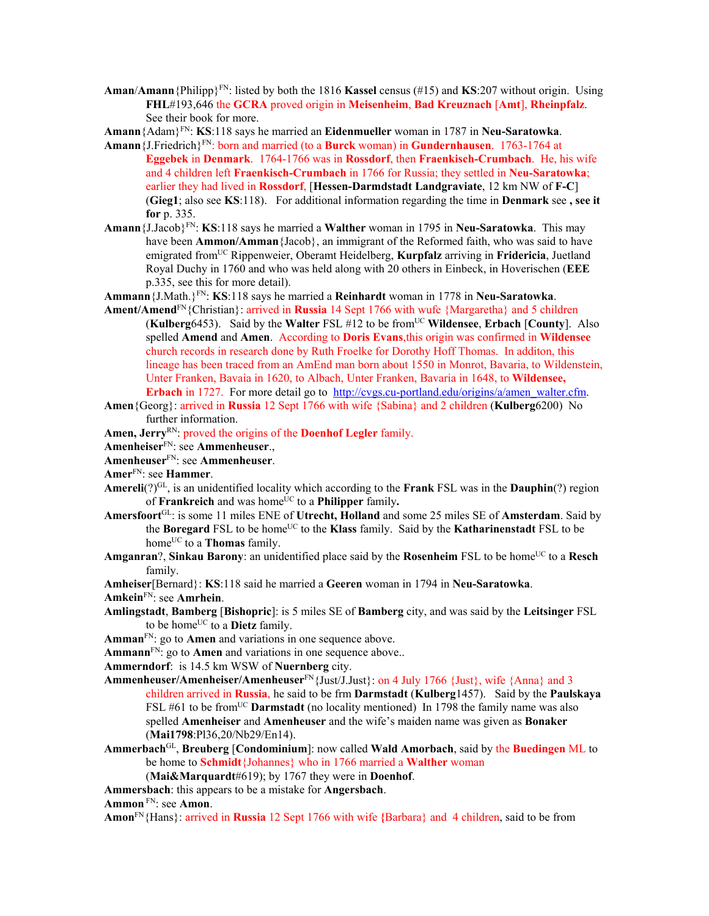**Aman**/**Amann**{Philipp}FN: listed by both the 1816 **Kassel** census (#15) and **KS**:207 without origin. Using **FHL**#193,646 the **GCRA** proved origin in **Meisenheim**, **Bad Kreuznach** [**Amt**], **Rheinpfalz**. See their book for more.

**Amann**{Adam}FN: **KS**:118 says he married an **Eidenmueller** woman in 1787 in **Neu-Saratowka**.

- **Amann**{J.Friedrich}FN: born and married (to a **Burck** woman) in **Gundernhausen**. 1763-1764 at **Eggebek** in **Denmark**. 1764-1766 was in **Rossdorf**, then **Fraenkisch-Crumbach**. He, his wife and 4 children left **Fraenkisch-Crumbach** in 1766 for Russia; they settled in **Neu-Saratowka**; earlier they had lived in **Rossdorf**, [**Hessen-Darmdstadt Landgraviate**, 12 km NW of **F-C**] (**Gieg1**; also see **KS**:118). For additional information regarding the time in **Denmark** see **, see it for** p. 335.
- **Amann**{J.Jacob}FN: **KS**:118 says he married a **Walther** woman in 1795 in **Neu-Saratowka**. This may have been **Ammon/Amman**{Jacob}, an immigrant of the Reformed faith, who was said to have emigrated fromUC Rippenweier, Oberamt Heidelberg, **Kurpfalz** arriving in **Fridericia**, Juetland Royal Duchy in 1760 and who was held along with 20 others in Einbeck, in Hoverischen (**EEE** p.335, see this for more detail).
- **Ammann**{J.Math.}FN: **KS**:118 says he married a **Reinhardt** woman in 1778 in **Neu-Saratowka**.
- **Ament/Amend**FN{Christian}: arrived in **Russia** 14 Sept 1766 with wufe {Margaretha} and 5 children (**Kulberg**6453). Said by the **Walter** FSL #12 to be fromUC **Wildensee**, **Erbach** [**County**]. Also spelled **Amend** and **Amen**. According to **Doris Evans**,this origin was confirmed in **Wildensee** church records in research done by Ruth Froelke for Dorothy Hoff Thomas. In additon, this lineage has been traced from an AmEnd man born about 1550 in Monrot, Bavaria, to Wildenstein, Unter Franken, Bavaia in 1620, to Albach, Unter Franken, Bavaria in 1648, to **Wildensee, Erbach** in 1727. For more detail go to http://cvgs.cu-portland.edu/origins/a/amen\_walter.cfm.
- **Amen**{Georg}: arrived in **Russia** 12 Sept 1766 with wife {Sabina} and 2 children (**Kulberg**6200) No further information.
- Amen, Jerry<sup>RN</sup>: proved the origins of the **Doenhof Legler** family.
- **Amenheiser**FN: see **Ammenheuser**.,
- **Amenheuser**FN: see **Ammenheuser**.
- **Amer**FN: see **Hammer**.
- **Amereli**(?)GL, is an unidentified locality which according to the **Frank** FSL was in the **Dauphin**(?) region of **Frankreich** and was home<sup>UC</sup> to a **Philipper** family.
- **Amersfoort**GL: is some 11 miles ENE of **Utrecht, Holland** and some 25 miles SE of **Amsterdam**. Said by the **Boregard** FSL to be home<sup>UC</sup> to the **Klass** family. Said by the **Katharinenstadt** FSL to be home<sup>UC</sup> to a **Thomas** family.
- **Amganran**?, **Sinkau Barony**: an unidentified place said by the **Rosenheim** FSL to be home<sup>UC</sup> to a **Resch** family.

**Amheiser**[Bernard}: **KS**:118 said he married a **Geeren** woman in 1794 in **Neu-Saratowka**.

**Amkein**FN: see **Amrhein**.

**Amlingstadt**, **Bamberg** [**Bishopric**]: is 5 miles SE of **Bamberg** city, and was said by the **Leitsinger** FSL to be home<sup>UC</sup> to a **Dietz** family.

**Amman**FN: go to **Amen** and variations in one sequence above.

Ammann<sup>FN</sup>: go to Amen and variations in one sequence above..

**Ammerndorf**: is 14.5 km WSW of **Nuernberg** city.

- **Ammenheuser/Amenheiser/Amenheuser**FN{Just/J.Just}: on 4 July 1766 {Just}, wife {Anna} and 3 children arrived in **Russia**, he said to be frm **Darmstadt** (**Kulberg**1457). Said by the **Paulskaya** FSL #61 to be from<sup>UC</sup> **Darmstadt** (no locality mentioned) In 1798 the family name was also spelled **Amenheiser** and **Amenheuser** and the wife's maiden name was given as **Bonaker** (**Mai1798**:Pl36,20/Nb29/En14).
- **Ammerbach**GL, **Breuberg** [**Condominium**]: now called **Wald Amorbach**, said by the **Buedingen** ML to be home to **Schmidt**{Johannes} who in 1766 married a **Walther** woman (**Mai&Marquardt**#619); by 1767 they were in **Doenhof**.

**Ammersbach**: this appears to be a mistake for **Angersbach**.

**Ammon** FN: see **Amon**.

**Amon**FN{Hans}: arrived in **Russia** 12 Sept 1766 with wife **{**Barbara} and 4 children, said to be from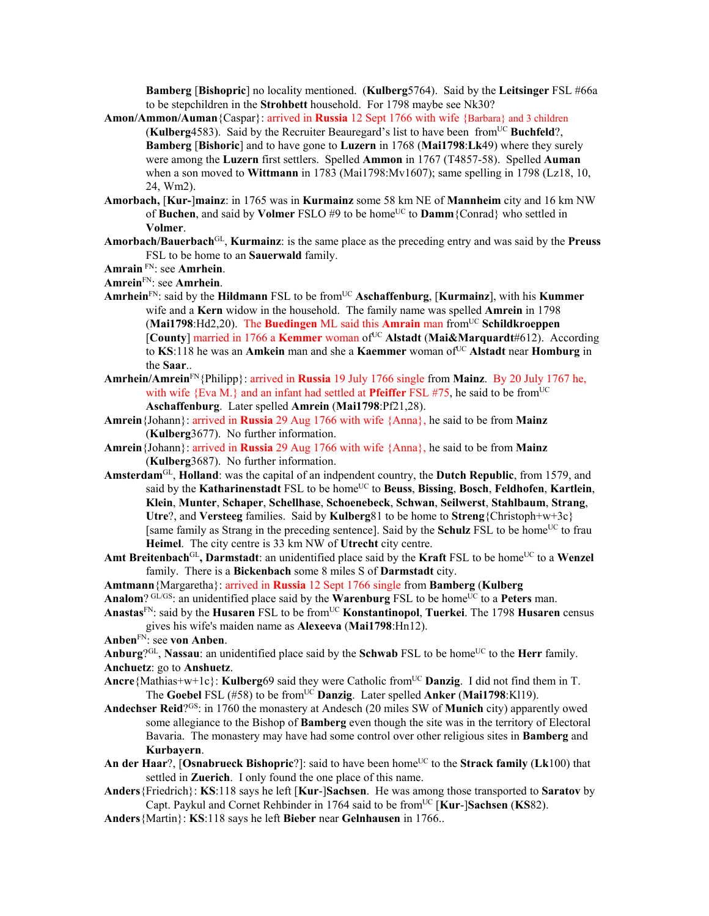**Bamberg** [**Bishopric**] no locality mentioned. (**Kulberg**5764). Said by the **Leitsinger** FSL #66a to be stepchildren in the **Strohbett** household. For 1798 maybe see Nk30?

- **Amon/Ammon/Auman**{Caspar}: arrived in **Russia** 12 Sept 1766 with wife {Barbara} and 3 children **(Kulberg**4583). Said by the Recruiter Beauregard's list to have been from<sup>UC</sup> Buchfeld?, **Bamberg** [**Bishoric**] and to have gone to **Luzern** in 1768 (**Mai1798**:**Lk**49) where they surely were among the **Luzern** first settlers. Spelled **Ammon** in 1767 (T4857-58). Spelled **Auman** when a son moved to **Wittmann** in 1783 (Mai1798:Mv1607); same spelling in 1798 (Lz18, 10, 24, Wm2).
- **Amorbach,** [**Kur-**]**mainz**: in 1765 was in **Kurmainz** some 58 km NE of **Mannheim** city and 16 km NW of **Buchen**, and said by **Volmer** FSLO #9 to be home<sup>UC</sup> to **Damm**{Conrad} who settled in **Volmer**.
- **Amorbach/Bauerbach**GL, **Kurmainz**: is the same place as the preceding entry and was said by the **Preuss** FSL to be home to an **Sauerwald** family.
- **Amrain** FN: see **Amrhein**.

**Amrein**FN: see **Amrhein**.

- **Amrhein**FN: said by the **Hildmann** FSL to be fromUC **Aschaffenburg**, [**Kurmainz**], with his **Kummer** wife and a **Kern** widow in the household. The family name was spelled **Amrein** in 1798 (**Mai1798**:Hd2,20). The **Buedingen** ML said this **Amrain** man fromUC **Schildkroeppen** [County] married in 1766 a Kemmer woman of<sup>UC</sup> Alstadt (Mai&Marquardt#612). According to KS:118 he was an **Amkein** man and she a **Kaemmer** woman of <sup>UC</sup> **Alstadt** near **Homburg** in the **Saar**..
- **Amrhein/Amrein**FN{Philipp}: arrived in **Russia** 19 July 1766 single from **Mainz**. By 20 July 1767 he, with wife  ${Eva M}$ , and an infant had settled at **Pfeiffer** FSL #75, he said to be from<sup>UC</sup> **Aschaffenburg**. Later spelled **Amrein** (**Mai1798**:Pf21,28).
- **Amrein**{Johann}: arrived in **Russia** 29 Aug 1766 with wife {Anna}, he said to be from **Mainz**  (**Kulberg**3677). No further information.
- **Amrein**{Johann}: arrived in **Russia** 29 Aug 1766 with wife {Anna}, he said to be from **Mainz**  (**Kulberg**3687). No further information.
- **Amsterdam**GL, **Holland**: was the capital of an indpendent country, the **Dutch Republic**, from 1579, and said by the Katharinenstadt FSL to be home<sup>UC</sup> to Beuss, Bissing, Bosch, Feldhofen, Kartlein, **Klein**, **Munter**, **Schaper**, **Schellhase**, **Schoenebeck**, **Schwan**, **Seilwerst**, **Stahlbaum**, **Strang**, **Utre**?, and **Versteeg** families. Said by **Kulberg**81 to be home to **Streng**{Christoph+w+3c} [same family as Strang in the preceding sentence]. Said by the **Schulz** FSL to be home<sup>UC</sup> to frau **Heimel**. The city centre is 33 km NW of **Utrecht** city centre.
- Amt Breitenbach<sup>GL</sup>, Darmstadt: an unidentified place said by the Kraft FSL to be home<sup>UC</sup> to a Wenzel family. There is a **Bickenbach** some 8 miles S of **Darmstadt** city.
- **Amtmann**{Margaretha}: arrived in **Russia** 12 Sept 1766 single from **Bamberg** (**Kulberg**
- Analom? GL/GS: an unidentified place said by the **Warenburg** FSL to be home<sup>UC</sup> to a Peters man.
- **Anastas**FN: said by the **Husaren** FSL to be fromUC **Konstantinopol**, **Tuerkei**. The 1798 **Husaren** census gives his wife's maiden name as **Alexeeva** (**Mai1798**:Hn12).
- **Anben**FN: see **von Anben**.
- Anburg<sup>?GL</sup>, Nassau: an unidentified place said by the Schwab FSL to be home<sup>UC</sup> to the **Herr** family. **Anchuetz**: go to **Anshuetz**.
- **Ancre**{Mathias+w+1c}: **Kulberg**69 said they were Catholic from<sup>UC</sup> **Danzig**. I did not find them in T. The **Goebel** FSL (#58) to be from<sup>UC</sup> **Danzig**. Later spelled **Anker** (Mai1798:Kl19).
- **Andechser Reid**?GS: in 1760 the monastery at Andesch (20 miles SW of **Munich** city) apparently owed some allegiance to the Bishop of **Bamberg** even though the site was in the territory of Electoral Bavaria. The monastery may have had some control over other religious sites in **Bamberg** and **Kurbayern**.
- An der Haar?, [Osnabrueck Bishopric?]: said to have been home<sup>UC</sup> to the Strack family (Lk100) that settled in **Zuerich**. I only found the one place of this name.
- **Anders**{Friedrich}: **KS**:118 says he left [**Kur**-]**Sachsen**. He was among those transported to **Saratov** by Capt. Paykul and Cornet Rehbinder in 1764 said to be fromUC [**Kur**-]**Sachsen** (**KS**82).
- **Anders**{Martin}: **KS**:118 says he left **Bieber** near **Gelnhausen** in 1766..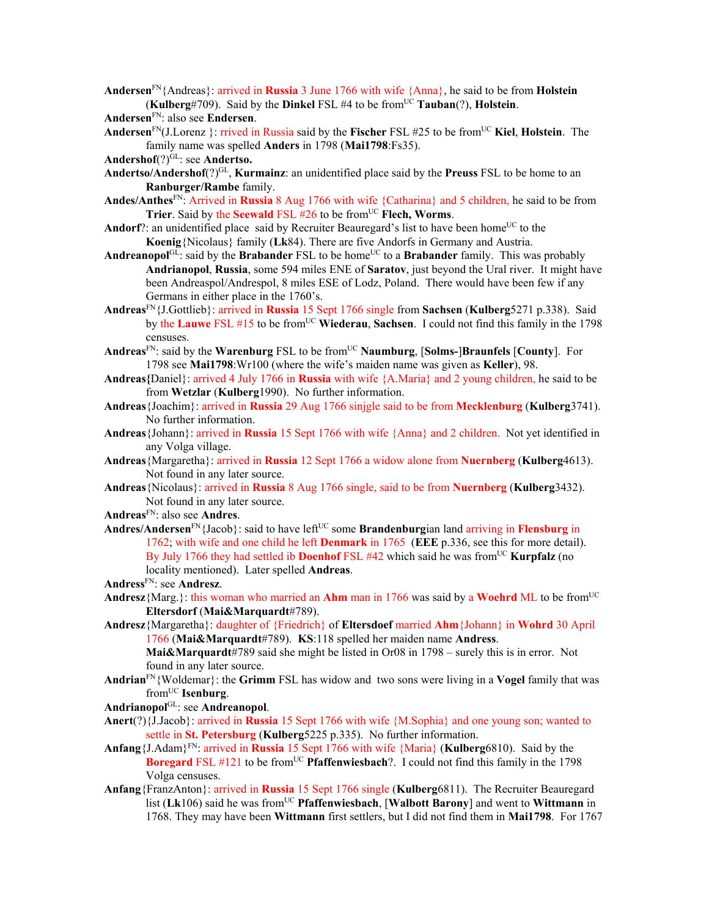**Andersen**FN{Andreas}: arrived in **Russia** 3 June 1766 with wife {Anna}, he said to be from **Holstein** (**Kulberg**#709). Said by the **Dinkel** FSL #4 to be fromUC **Tauban**(?), **Holstein**.

**Andersen**FN: also see **Endersen**.

- **Andersen**FN(J.Lorenz }: rrived in Russia said by the **Fischer** FSL #25 to be fromUC **Kiel**, **Holstein**. The family name was spelled **Anders** in 1798 (**Mai1798**:Fs35).
- Andershof<sup>(?)GL</sup>: see Andertso.
- **Andertso/Andershof**(?)GL, **Kurmainz**: an unidentified place said by the **Preuss** FSL to be home to an **Ranburger/Rambe** family.
- **Andes/Anthes**FN: Arrived in **Russia** 8 Aug 1766 with wife {Catharina} and 5 children, he said to be from **Trier**. Said by the **Seewald** FSL #26 to be from<sup>UC</sup> **Flech, Worms**.
- **Andorf**?: an unidentified place said by Recruiter Beauregard's list to have been home<sup>UC</sup> to the **Koenig**{Nicolaus} family (**Lk**84). There are five Andorfs in Germany and Austria.
- **Andreanopol**<sup>GL</sup>: said by the **Brabander** FSL to be home<sup>UC</sup> to a **Brabander** family. This was probably **Andrianopol**, **Russia**, some 594 miles ENE of **Saratov**, just beyond the Ural river. It might have been Andreaspol/Andrespol, 8 miles ESE of Lodz, Poland. There would have been few if any Germans in either place in the 1760's.
- **Andreas**FN{J.Gottlieb}: arrived in **Russia** 15 Sept 1766 single from **Sachsen** (**Kulberg**5271 p.338). Said by the Lauwe FSL #15 to be from<sup>UC</sup> Wiederau, Sachsen. I could not find this family in the 1798 censuses.
- **Andreas**FN: said by the **Warenburg** FSL to be fromUC **Naumburg**, [**Solms-**]**Braunfels** [**County**]. For 1798 see **Mai1798**:Wr100 (where the wife's maiden name was given as **Keller**), 98.
- **Andreas{**Daniel}: arrived 4 July 1766 in **Russia** with wife {A.Maria} and 2 young children, he said to be from **Wetzlar** (**Kulberg**1990). No further information.
- **Andreas**{Joachim}: arrived in **Russia** 29 Aug 1766 sinjgle said to be from **Mecklenburg** (**Kulberg**3741). No further information.
- **Andreas**{Johann}: arrived in **Russia** 15 Sept 1766 with wife {Anna} and 2 children. Not yet identified in any Volga village.
- **Andreas**{Margaretha}: arrived in **Russia** 12 Sept 1766 a widow alone from **Nuernberg** (**Kulberg**4613). Not found in any later source.
- **Andreas**{Nicolaus}: arrived in **Russia** 8 Aug 1766 single, said to be from **Nuernberg** (**Kulberg**3432). Not found in any later source.
- **Andreas**FN: also see **Andres**.
- Andres/Andersen<sup>FN</sup>{Jacob}: said to have left<sup>UC</sup> some **Brandenburgian land arriving in Flensburg** in 1762; with wife and one child he left **Denmark** in 1765 (**EEE** p.336, see this for more detail). By July 1766 they had settled ib **Doenhof** FSL #42 which said he was from<sup>UC</sup> **Kurpfalz** (no locality mentioned). Later spelled **Andreas**.
- **Andress**FN: see **Andresz**.
- **Andresz**{Marg.}: this woman who married an **Ahm** man in 1766 was said by a **Woehrd** ML to be from<sup>UC</sup> **Eltersdorf** (**Mai&Marquardt**#789).
- **Andresz**{Margaretha}: daughter of {Friedrich} of **Eltersdoef** married **Ahm**{Johann} in **Wohrd** 30 April 1766 (**Mai&Marquardt**#789). **KS**:118 spelled her maiden name **Andress**.

**Mai&Marquardt**#789 said she might be listed in Or08 in 1798 – surely this is in error. Not found in any later source.

- **Andrian**FN{Woldemar}: the **Grimm** FSL has widow and two sons were living in a **Vogel** family that was fromUC **Isenburg**.
- **Andrianopol**GL: see **Andreanopol**.
- **Anert**(?){J.Jacob}: arrived in **Russia** 15 Sept 1766 with wife {M.Sophia} and one young son; wanted to settle in **St. Petersburg** (**Kulberg**5225 p.335). No further information.
- **Anfang**{J.Adam}FN: arrived in **Russia** 15 Sept 1766 with wife {Maria} (**Kulberg**6810). Said by the **Boregard** FSL  $\#121$  to be from<sup>UC</sup> **Pfaffenwiesbach**?. I could not find this family in the 1798 Volga censuses.
- **Anfang**{FranzAnton}: arrived in **Russia** 15 Sept 1766 single (**Kulberg**6811). The Recruiter Beauregard list (**Lk**106) said he was fromUC **Pfaffenwiesbach**, [**Walbott Barony**] and went to **Wittmann** in 1768. They may have been **Wittmann** first settlers, but I did not find them in **Mai1798**. For 1767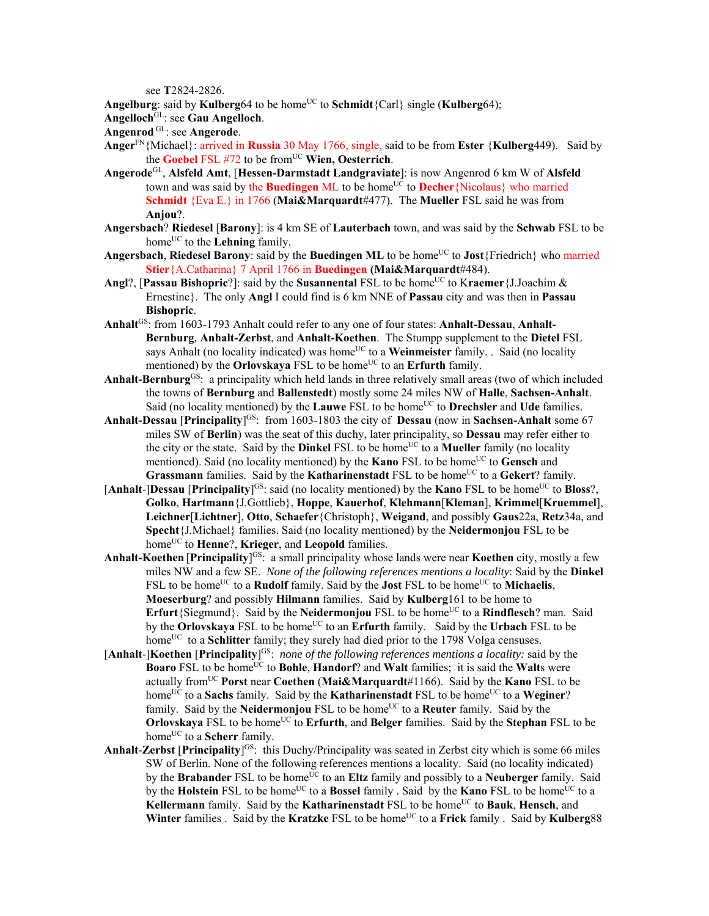see **T**2824-2826.

**Angelburg**: said by **Kulberg**64 to be home<sup>UC</sup> to **Schmidt**{Carl} single (**Kulberg**64);

**Angelloch**GL: see **Gau Angelloch**.

**Angenrod** GL: see **Angerode**.

- **Anger**FN{Michael}: arrived in **Russia** 30 May 1766, single, said to be from **Ester** {**Kulberg**449). Said by the **Goebel** FSL #72 to be fromUC **Wien, Oesterrich**.
- **Angerode**GL, **Alsfeld Amt**, [**Hessen-Darmstadt Landgraviate**]: is now Angenrod 6 km W of **Alsfeld** town and was said by the **Buedingen** ML to be home<sup>UC</sup> to **Decher**{Nicolaus} who married **Schmidt** {Eva E.} in 1766 (**Mai&Marquardt**#477). The **Mueller** FSL said he was from **Anjou**?.
- **Angersbach**? **Riedesel** [**Barony**]: is 4 km SE of **Lauterbach** town, and was said by the **Schwab** FSL to be home<sup>UC</sup> to the **Lehning** family.
- **Angersbach, Riedesel Barony**: said by the **Buedingen ML** to be home<sup>UC</sup> to **Jost**{Friedrich} who married **Stier**{A.Catharina} 7 April 1766 in **Buedingen (Mai&Marquardt**#484).
- **Angl**?, [Passau Bishopric?]: said by the Susannental FSL to be home<sup>UC</sup> to Kraemer {J.Joachim & Ernestine}. The only **Angl** I could find is 6 km NNE of **Passau** city and was then in **Passau Bishopric**.
- **Anhalt**GS: from 1603-1793 Anhalt could refer to any one of four states: **Anhalt-Dessau**, **Anhalt-Bernburg**, **Anhalt-Zerbst**, and **Anhalt-Koethen**. The Stumpp supplement to the **Dietel** FSL says Anhalt (no locality indicated) was home<sup>UC</sup> to a **Weinmeister** family. . Said (no locality mentioned) by the **Orlovskaya** FSL to be home<sup>UC</sup> to an **Erfurth** family.
- **Anhalt-Bernburg**GS: a principality which held lands in three relatively small areas (two of which included the towns of **Bernburg** and **Ballenstedt**) mostly some 24 miles NW of **Halle**, **Sachsen-Anhalt**. Said (no locality mentioned) by the **Lauwe** FSL to be home<sup>UC</sup> to **Drechsler** and **Ude** families.
- **Anhalt-Dessau** [**Principality**] GS: from 1603-1803 the city of **Dessau** (now in **Sachsen-Anhalt** some 67 miles SW of **Berlin**) was the seat of this duchy, later principality, so **Dessau** may refer either to the city or the state. Said by the **Dinkel** FSL to be home<sup>UC</sup> to a **Mueller** family (no locality mentioned). Said (no locality mentioned) by the **Kano** FSL to be home<sup>UC</sup> to **Gensch** and **Grassmann** families. Said by the **Katharinenstadt** FSL to be home<sup>UC</sup> to a Gekert? family.
- [**Anhalt**-]Dessau [Principality]<sup>GS</sup>: said (no locality mentioned) by the **Kano** FSL to be home<sup>UC</sup> to **Bloss**?, **Golko**, **Hartmann**{J.Gottlieb}, **Hoppe**, **Kauerhof**, **Klehmann**[**Kleman**], **Krimmel**[**Kruemmel**], **Leichner**[**Lichtner**], **Otto**, **Schaefer**{Christoph}, **Weigand**, and possibly **Gaus**22a, **Retz**34a, and **Specht**{J.Michael} families. Said (no locality mentioned) by the **Neidermonjou** FSL to be home<sup>UC</sup> to **Henne**?, **Krieger**, and **Leopold** families.
- Anhalt-Koethen [Principality]<sup>GS:</sup> a small principality whose lands were near Koethen city, mostly a few miles NW and a few SE. *None of the following references mentions a locality*: Said by the **Dinkel** FSL to be home<sup>UC</sup> to a **Rudolf** family. Said by the **Jost** FSL to be home<sup>UC</sup> to **Michaelis**, **Moeserburg**? and possibly **Hilmann** families. Said by **Kulberg**161 to be home to **Erfurt**{Siegmund}. Said by the **Neidermonjou** FSL to be home<sup>UC</sup> to a **Rindflesch**? man. Said by the **Orlovskaya** FSL to be home<sup>UC</sup> to an **Erfurth** family. Said by the **Urbach** FSL to be home<sup>UC</sup> to a **Schlitter** family; they surely had died prior to the 1798 Volga censuses.
- [**Anhalt**-]**Koethen** [**Principality**] GS: *none of the following references mentions a locality:* said by the Boaro FSL to be home<sup>UC</sup> to Bohle, Handorf? and Walt families; it is said the Walts were actually fromUC **Porst** near **Coethen** (**Mai&Marquardt**#1166). Said by the **Kano** FSL to be home<sup>UC</sup> to a **Sachs** family. Said by the **Katharinenstadt** FSL to be home<sup>UC</sup> to a **Weginer**? family. Said by the Neidermonjou FSL to be home<sup>UC</sup> to a Reuter family. Said by the **Orlovskaya** FSL to be home<sup>UC</sup> to **Erfurth**, and **Belger** families. Said by the **Stephan** FSL to be home<sup>UC</sup> to a **Scherr** family.
- **Anhalt**-**Zerbst** [**Principality**] GS: this Duchy/Principality was seated in Zerbst city which is some 66 miles SW of Berlin. None of the following references mentions a locality. Said (no locality indicated) by the **Brabander** FSL to be home<sup>UC</sup> to an **Eltz** family and possibly to a **Neuberger** family. Said by the **Holstein** FSL to be home<sup>UC</sup> to a **Bossel** family . Said by the **Kano** FSL to be home<sup>UC</sup> to a **Kellermann** family. Said by the **Katharinenstadt** FSL to be home<sup>UC</sup> to **Bauk**, **Hensch**, and **Winter** families . Said by the **Kratzke** FSL to be home<sup>UC</sup> to a Frick family . Said by **Kulberg**88